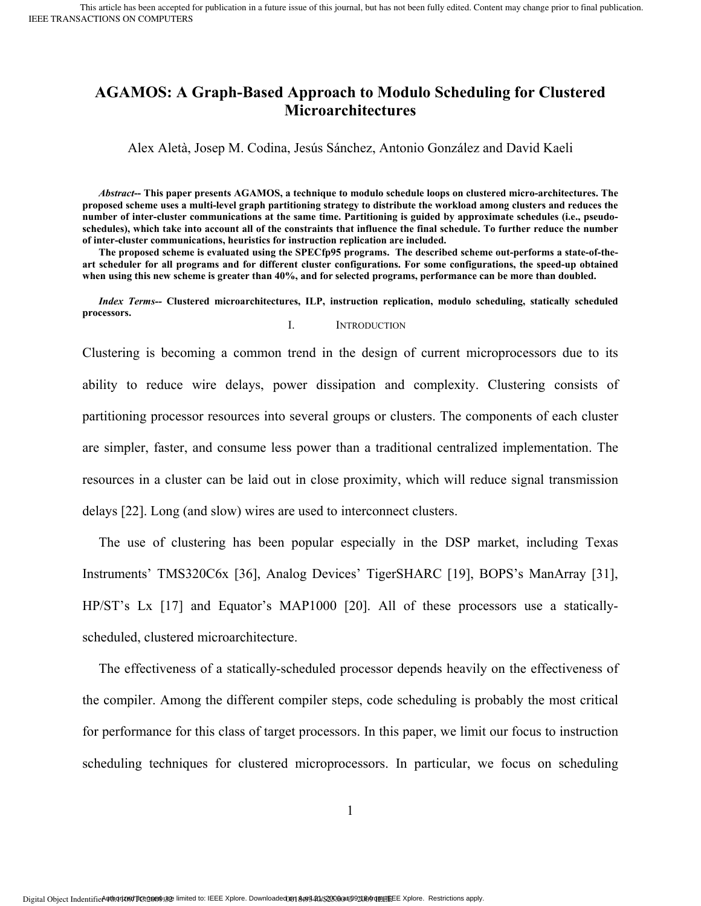# **AGAMOS: A Graph-Based Approach to Modulo Scheduling for Clustered Microarchitectures**

Alex Aletà, Josep M. Codina, Jesús Sánchez, Antonio González and David Kaeli

*Abstract***-- This paper presents AGAMOS, a technique to modulo schedule loops on clustered micro-architectures. The proposed scheme uses a multi-level graph partitioning strategy to distribute the workload among clusters and reduces the number of inter-cluster communications at the same time. Partitioning is guided by approximate schedules (i.e., pseudoschedules), which take into account all of the constraints that influence the final schedule. To further reduce the number of inter-cluster communications, heuristics for instruction replication are included.** 

**The proposed scheme is evaluated using the SPECfp95 programs. The described scheme out-performs a state-of-theart scheduler for all programs and for different cluster configurations. For some configurations, the speed-up obtained when using this new scheme is greater than 40%, and for selected programs, performance can be more than doubled.** 

*Index Terms--* **Clustered microarchitectures, ILP, instruction replication, modulo scheduling, statically scheduled processors.**

#### I. INTRODUCTION

Clustering is becoming a common trend in the design of current microprocessors due to its ability to reduce wire delays, power dissipation and complexity. Clustering consists of partitioning processor resources into several groups or clusters. The components of each cluster are simpler, faster, and consume less power than a traditional centralized implementation. The resources in a cluster can be laid out in close proximity, which will reduce signal transmission delays [22]. Long (and slow) wires are used to interconnect clusters.

The use of clustering has been popular especially in the DSP market, including Texas Instruments' TMS320C6x [36], Analog Devices' TigerSHARC [19], BOPS's ManArray [31], HP/ST's Lx [17] and Equator's MAP1000 [20]. All of these processors use a staticallyscheduled, clustered microarchitecture.

The effectiveness of a statically-scheduled processor depends heavily on the effectiveness of the compiler. Among the different compiler steps, code scheduling is probably the most critical for performance for this class of target processors. In this paper, we limit our focus to instruction scheduling techniques for clustered microprocessors. In particular, we focus on scheduling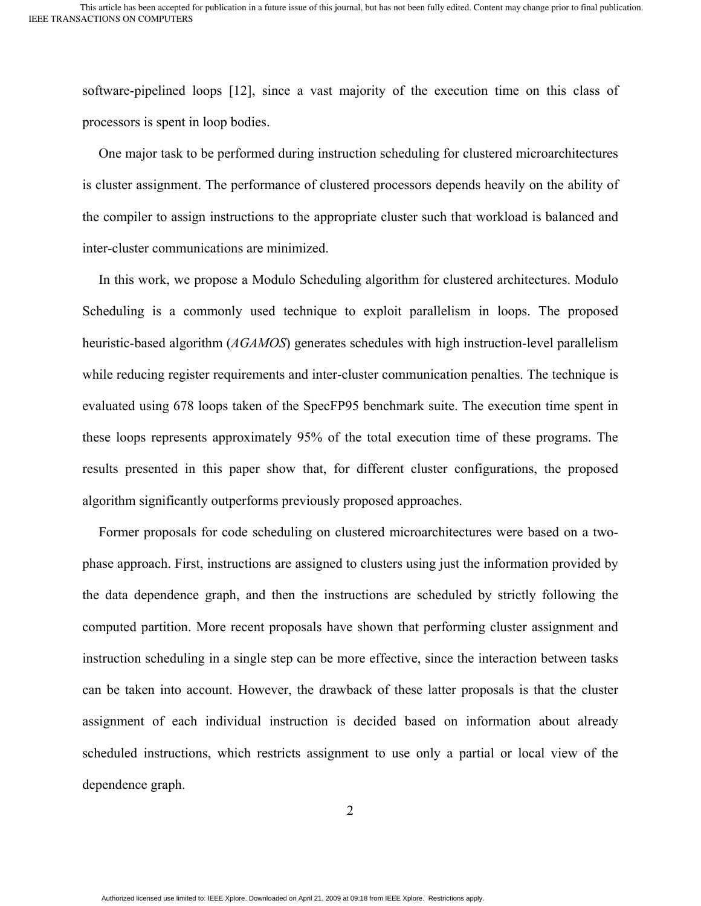software-pipelined loops [12], since a vast majority of the execution time on this class of processors is spent in loop bodies.

One major task to be performed during instruction scheduling for clustered microarchitectures is cluster assignment. The performance of clustered processors depends heavily on the ability of the compiler to assign instructions to the appropriate cluster such that workload is balanced and inter-cluster communications are minimized.

In this work, we propose a Modulo Scheduling algorithm for clustered architectures. Modulo Scheduling is a commonly used technique to exploit parallelism in loops. The proposed heuristic-based algorithm (*AGAMOS*) generates schedules with high instruction-level parallelism while reducing register requirements and inter-cluster communication penalties. The technique is evaluated using 678 loops taken of the SpecFP95 benchmark suite. The execution time spent in these loops represents approximately 95% of the total execution time of these programs. The results presented in this paper show that, for different cluster configurations, the proposed algorithm significantly outperforms previously proposed approaches.

Former proposals for code scheduling on clustered microarchitectures were based on a twophase approach. First, instructions are assigned to clusters using just the information provided by the data dependence graph, and then the instructions are scheduled by strictly following the computed partition. More recent proposals have shown that performing cluster assignment and instruction scheduling in a single step can be more effective, since the interaction between tasks can be taken into account. However, the drawback of these latter proposals is that the cluster assignment of each individual instruction is decided based on information about already scheduled instructions, which restricts assignment to use only a partial or local view of the dependence graph.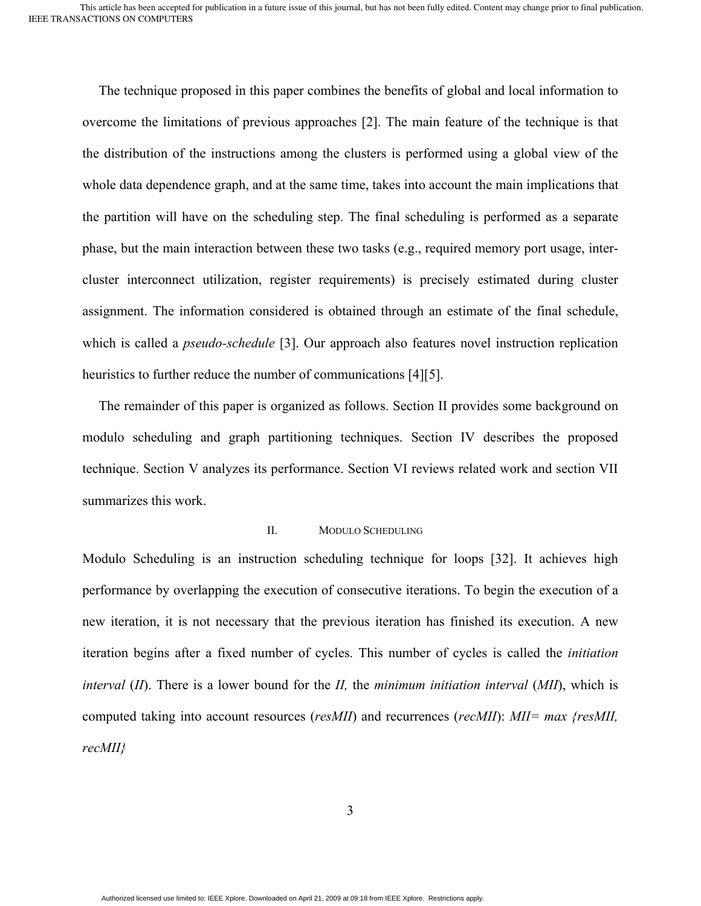The technique proposed in this paper combines the benefits of global and local information to overcome the limitations of previous approaches [2]. The main feature of the technique is that the distribution of the instructions among the clusters is performed using a global view of the whole data dependence graph, and at the same time, takes into account the main implications that the partition will have on the scheduling step. The final scheduling is performed as a separate phase, but the main interaction between these two tasks (e.g., required memory port usage, intercluster interconnect utilization, register requirements) is precisely estimated during cluster assignment. The information considered is obtained through an estimate of the final schedule, which is called a *pseudo-schedule* [3]. Our approach also features novel instruction replication heuristics to further reduce the number of communications [4][5].

The remainder of this paper is organized as follows. Section II provides some background on modulo scheduling and graph partitioning techniques. Section IV describes the proposed technique. Section V analyzes its performance. Section VI reviews related work and section VII summarizes this work.

#### II. MODULO SCHEDULING

Modulo Scheduling is an instruction scheduling technique for loops [32]. It achieves high performance by overlapping the execution of consecutive iterations. To begin the execution of a new iteration, it is not necessary that the previous iteration has finished its execution. A new iteration begins after a fixed number of cycles. This number of cycles is called the *initiation interval* (*II*). There is a lower bound for the *II,* the *minimum initiation interval* (*MII*), which is computed taking into account resources (*resMII*) and recurrences (*recMII*): *MII= max {resMII, recMII}*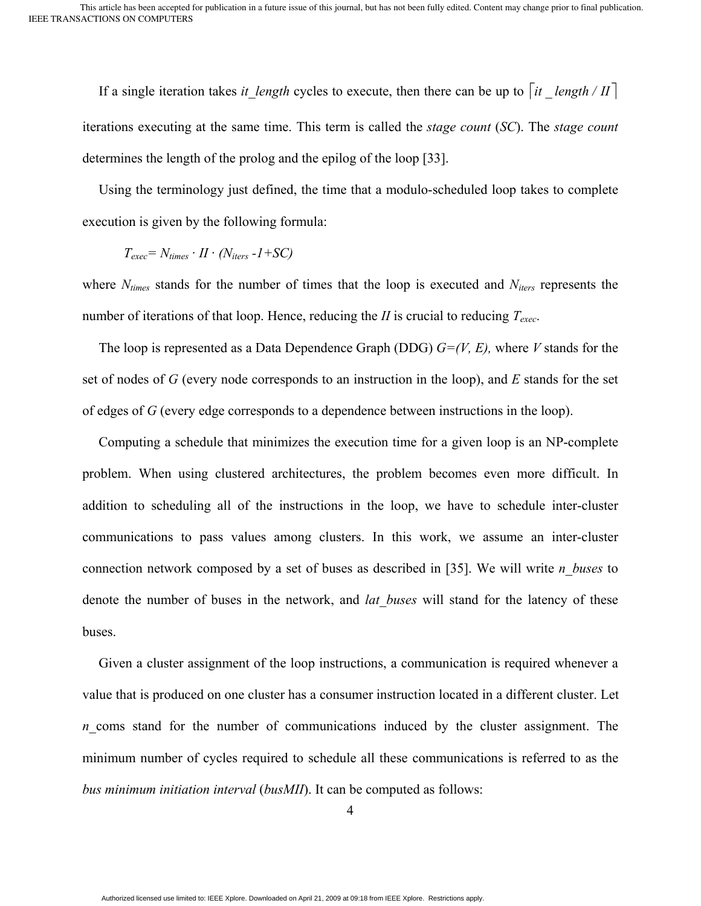If a single iteration takes *it\_length* cycles to execute, then there can be up to  $\left| i\right|$  *length*  $\left/$  *II*  $\right|$ iterations executing at the same time. This term is called the *stage count* (*SC*). The *stage count* determines the length of the prolog and the epilog of the loop [33].

Using the terminology just defined, the time that a modulo-scheduled loop takes to complete execution is given by the following formula:

$$
T_{exec} = N_{times} \cdot II \cdot (N_{iters} - I + SC)
$$

where *N<sub>times</sub>* stands for the number of times that the loop is executed and *N<sub>iters</sub>* represents the number of iterations of that loop. Hence, reducing the *II* is crucial to reducing  $T_{exec}$ .

The loop is represented as a Data Dependence Graph (DDG) *G=(V, E),* where *V* stands for the set of nodes of *G* (every node corresponds to an instruction in the loop), and *E* stands for the set of edges of *G* (every edge corresponds to a dependence between instructions in the loop).

Computing a schedule that minimizes the execution time for a given loop is an NP-complete problem. When using clustered architectures, the problem becomes even more difficult. In addition to scheduling all of the instructions in the loop, we have to schedule inter-cluster communications to pass values among clusters. In this work, we assume an inter-cluster connection network composed by a set of buses as described in [35]. We will write *n\_buses* to denote the number of buses in the network, and *lat buses* will stand for the latency of these buses.

Given a cluster assignment of the loop instructions, a communication is required whenever a value that is produced on one cluster has a consumer instruction located in a different cluster. Let *n* coms stand for the number of communications induced by the cluster assignment. The minimum number of cycles required to schedule all these communications is referred to as the *bus minimum initiation interval* (*busMII*). It can be computed as follows:

4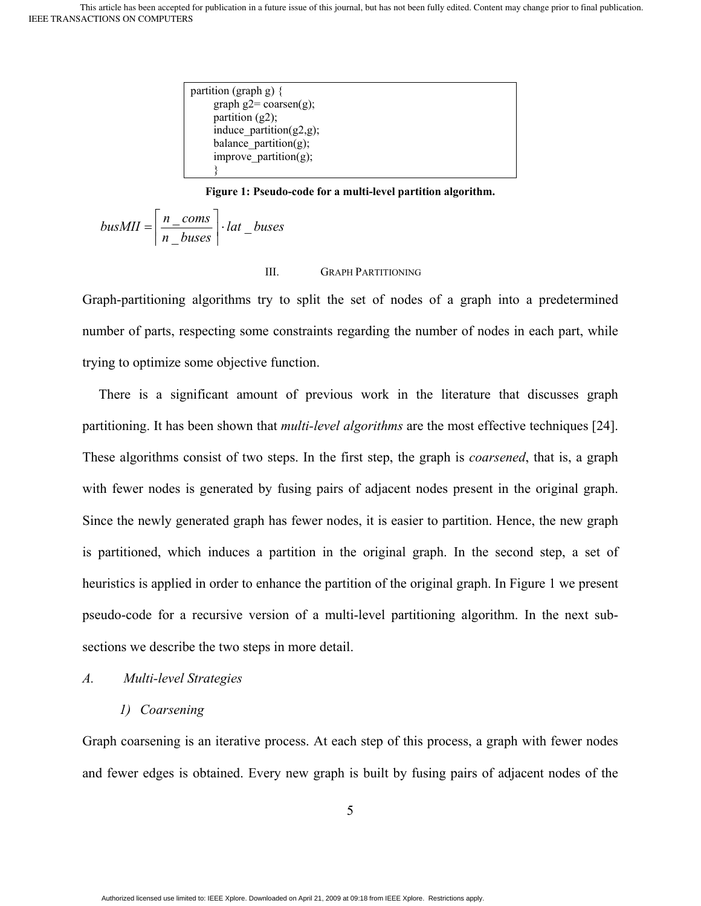IEEE TRANSACTIONS ON COMPUTERS This article has been accepted for publication in a future issue of this journal, but has not been fully edited. Content may change prior to final publication.

| partition (graph g) $\{$         |  |
|----------------------------------|--|
| graph $g2 = \text{coarsen}(g)$ ; |  |
| partition $(g2)$ ;               |  |
| induce partition $(g2, g)$ ;     |  |
| balance partition $(g)$ ;        |  |
| improve partition $(g)$ ;        |  |
|                                  |  |

**Figure 1: Pseudo-code for a multi-level partition algorithm.** 

$$
busMII = \left| \frac{n\_cons}{n\_buses} \right| \cdot lat\_buses
$$

#### III. GRAPH PARTITIONING

Graph-partitioning algorithms try to split the set of nodes of a graph into a predetermined number of parts, respecting some constraints regarding the number of nodes in each part, while trying to optimize some objective function.

There is a significant amount of previous work in the literature that discusses graph partitioning. It has been shown that *multi-level algorithms* are the most effective techniques [24]. These algorithms consist of two steps. In the first step, the graph is *coarsened*, that is, a graph with fewer nodes is generated by fusing pairs of adjacent nodes present in the original graph. Since the newly generated graph has fewer nodes, it is easier to partition. Hence, the new graph is partitioned, which induces a partition in the original graph. In the second step, a set of heuristics is applied in order to enhance the partition of the original graph. In Figure 1 we present pseudo-code for a recursive version of a multi-level partitioning algorithm. In the next subsections we describe the two steps in more detail.

# *A. Multi-level Strategies*

# *1) Coarsening*

Graph coarsening is an iterative process. At each step of this process, a graph with fewer nodes and fewer edges is obtained. Every new graph is built by fusing pairs of adjacent nodes of the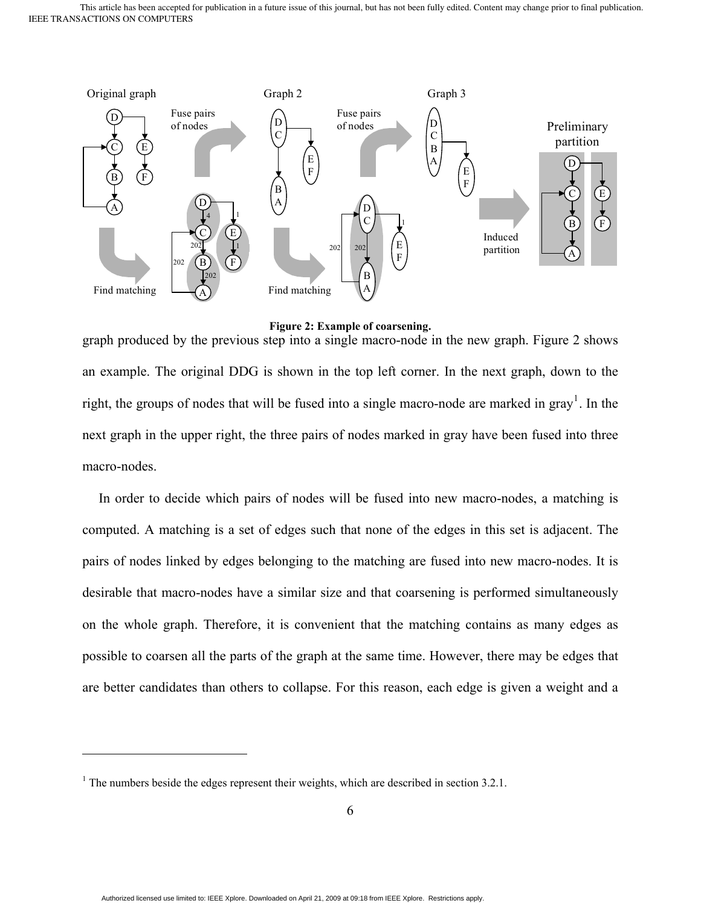IEEE TRANSACTIONS ON COMPUTERS This article has been accepted for publication in a future issue of this journal, but has not been fully edited. Content may change prior to final publication.



#### **Figure 2: Example of coarsening.**

graph produced by the previous step into a single macro-node in the new graph. Figure 2 shows an example. The original DDG is shown in the top left corner. In the next graph, down to the right, the groups of nodes that will be fused into a single macro-node are marked in  $\text{gray}^1$ . In the next graph in the upper right, the three pairs of nodes marked in gray have been fused into three macro-nodes.

In order to decide which pairs of nodes will be fused into new macro-nodes, a matching is computed. A matching is a set of edges such that none of the edges in this set is adjacent. The pairs of nodes linked by edges belonging to the matching are fused into new macro-nodes. It is desirable that macro-nodes have a similar size and that coarsening is performed simultaneously on the whole graph. Therefore, it is convenient that the matching contains as many edges as possible to coarsen all the parts of the graph at the same time. However, there may be edges that are better candidates than others to collapse. For this reason, each edge is given a weight and a

 $\overline{a}$ 

<sup>&</sup>lt;sup>1</sup> The numbers beside the edges represent their weights, which are described in section 3.2.1.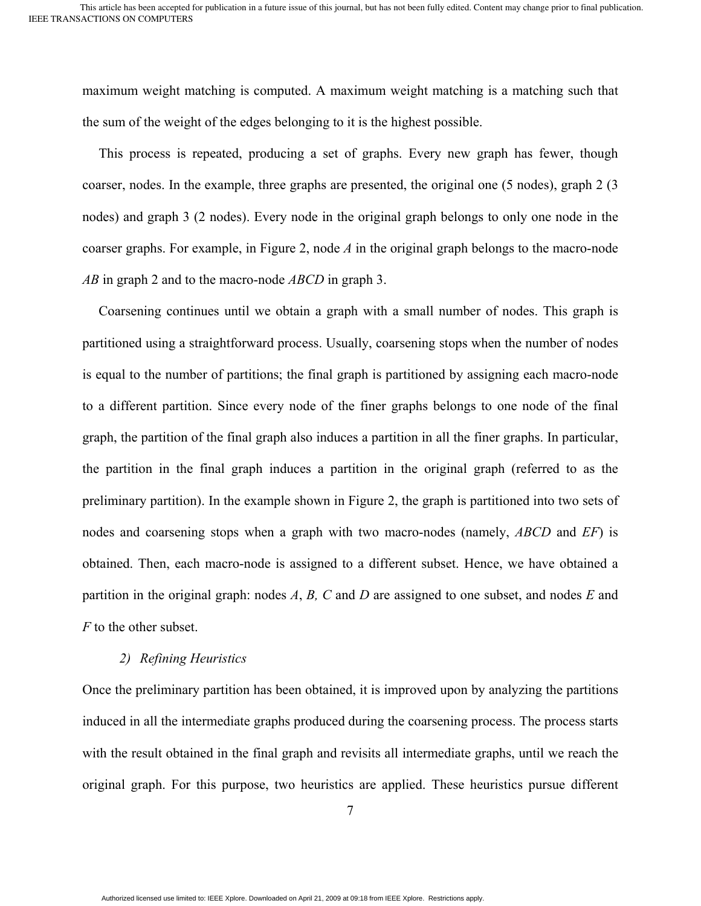maximum weight matching is computed. A maximum weight matching is a matching such that the sum of the weight of the edges belonging to it is the highest possible.

This process is repeated, producing a set of graphs. Every new graph has fewer, though coarser, nodes. In the example, three graphs are presented, the original one (5 nodes), graph 2 (3 nodes) and graph 3 (2 nodes). Every node in the original graph belongs to only one node in the coarser graphs. For example, in Figure 2, node *A* in the original graph belongs to the macro-node *AB* in graph 2 and to the macro-node *ABCD* in graph 3.

Coarsening continues until we obtain a graph with a small number of nodes. This graph is partitioned using a straightforward process. Usually, coarsening stops when the number of nodes is equal to the number of partitions; the final graph is partitioned by assigning each macro-node to a different partition. Since every node of the finer graphs belongs to one node of the final graph, the partition of the final graph also induces a partition in all the finer graphs. In particular, the partition in the final graph induces a partition in the original graph (referred to as the preliminary partition). In the example shown in Figure 2, the graph is partitioned into two sets of nodes and coarsening stops when a graph with two macro-nodes (namely, *ABCD* and *EF*) is obtained. Then, each macro-node is assigned to a different subset. Hence, we have obtained a partition in the original graph: nodes *A*, *B, C* and *D* are assigned to one subset, and nodes *E* and *F* to the other subset.

### *2) Refining Heuristics*

Once the preliminary partition has been obtained, it is improved upon by analyzing the partitions induced in all the intermediate graphs produced during the coarsening process. The process starts with the result obtained in the final graph and revisits all intermediate graphs, until we reach the original graph. For this purpose, two heuristics are applied. These heuristics pursue different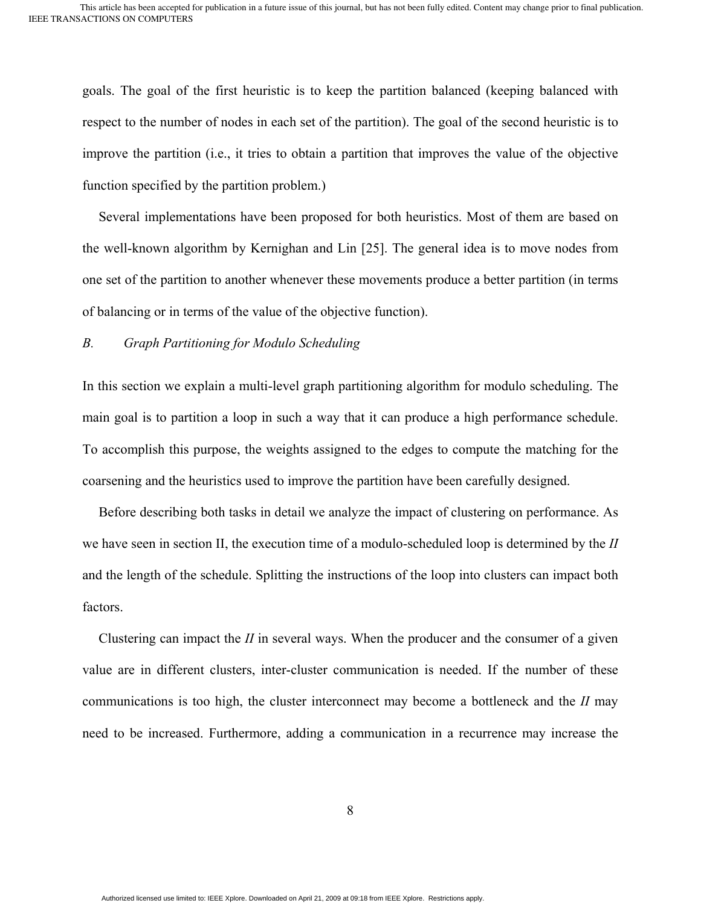goals. The goal of the first heuristic is to keep the partition balanced (keeping balanced with respect to the number of nodes in each set of the partition). The goal of the second heuristic is to improve the partition (i.e., it tries to obtain a partition that improves the value of the objective function specified by the partition problem.)

Several implementations have been proposed for both heuristics. Most of them are based on the well-known algorithm by Kernighan and Lin [25]. The general idea is to move nodes from one set of the partition to another whenever these movements produce a better partition (in terms of balancing or in terms of the value of the objective function).

### *B. Graph Partitioning for Modulo Scheduling*

In this section we explain a multi-level graph partitioning algorithm for modulo scheduling. The main goal is to partition a loop in such a way that it can produce a high performance schedule. To accomplish this purpose, the weights assigned to the edges to compute the matching for the coarsening and the heuristics used to improve the partition have been carefully designed.

Before describing both tasks in detail we analyze the impact of clustering on performance. As we have seen in section II, the execution time of a modulo-scheduled loop is determined by the *II* and the length of the schedule. Splitting the instructions of the loop into clusters can impact both factors.

Clustering can impact the *II* in several ways. When the producer and the consumer of a given value are in different clusters, inter-cluster communication is needed. If the number of these communications is too high, the cluster interconnect may become a bottleneck and the *II* may need to be increased. Furthermore, adding a communication in a recurrence may increase the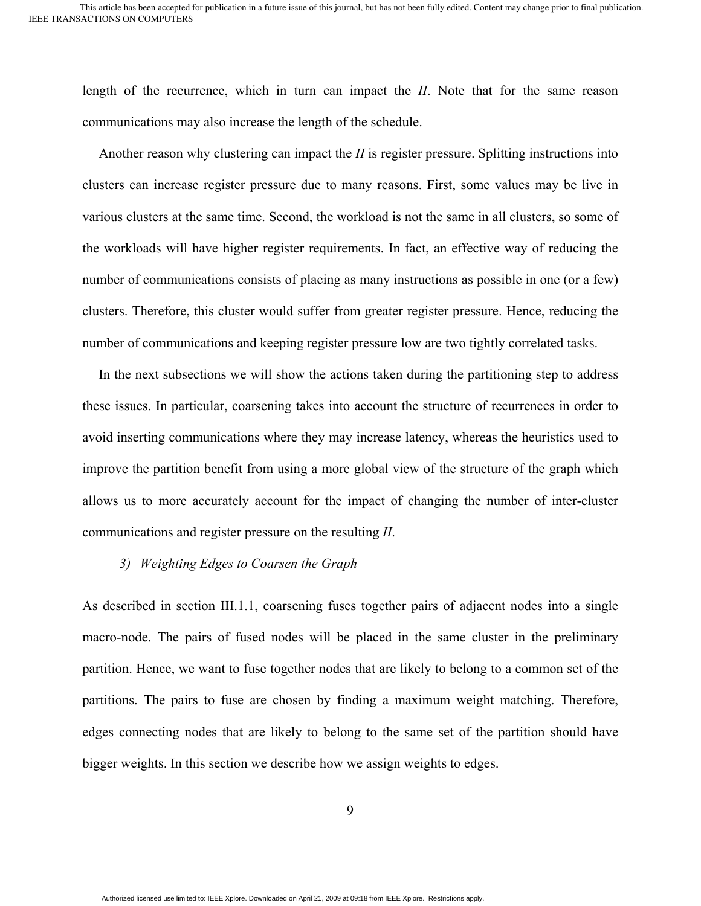length of the recurrence, which in turn can impact the *II*. Note that for the same reason communications may also increase the length of the schedule.

Another reason why clustering can impact the *II* is register pressure. Splitting instructions into clusters can increase register pressure due to many reasons. First, some values may be live in various clusters at the same time. Second, the workload is not the same in all clusters, so some of the workloads will have higher register requirements. In fact, an effective way of reducing the number of communications consists of placing as many instructions as possible in one (or a few) clusters. Therefore, this cluster would suffer from greater register pressure. Hence, reducing the number of communications and keeping register pressure low are two tightly correlated tasks.

In the next subsections we will show the actions taken during the partitioning step to address these issues. In particular, coarsening takes into account the structure of recurrences in order to avoid inserting communications where they may increase latency, whereas the heuristics used to improve the partition benefit from using a more global view of the structure of the graph which allows us to more accurately account for the impact of changing the number of inter-cluster communications and register pressure on the resulting *II*.

## *3) Weighting Edges to Coarsen the Graph*

As described in section III.1.1, coarsening fuses together pairs of adjacent nodes into a single macro-node. The pairs of fused nodes will be placed in the same cluster in the preliminary partition. Hence, we want to fuse together nodes that are likely to belong to a common set of the partitions. The pairs to fuse are chosen by finding a maximum weight matching. Therefore, edges connecting nodes that are likely to belong to the same set of the partition should have bigger weights. In this section we describe how we assign weights to edges.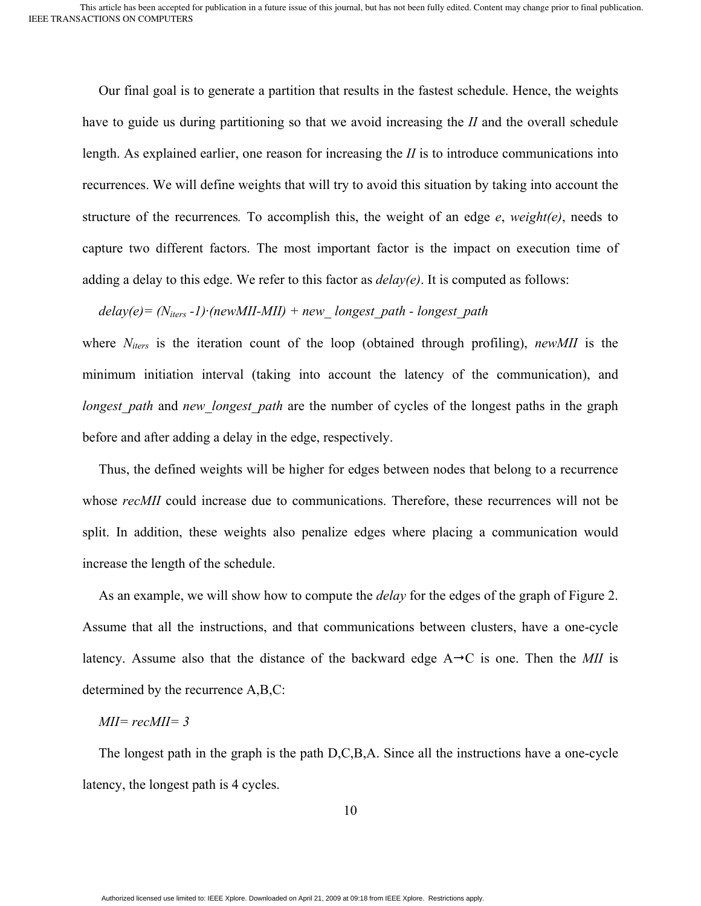Our final goal is to generate a partition that results in the fastest schedule. Hence, the weights have to guide us during partitioning so that we avoid increasing the *II* and the overall schedule length. As explained earlier, one reason for increasing the *II* is to introduce communications into recurrences. We will define weights that will try to avoid this situation by taking into account the structure of the recurrences*.* To accomplish this, the weight of an edge *e*, *weight(e)*, needs to capture two different factors. The most important factor is the impact on execution time of adding a delay to this edge. We refer to this factor as *delay(e)*. It is computed as follows:

# *delay(e)= (Niters -1)·(newMII-MII) + new\_ longest\_path - longest\_path*

where *N<sub>iters</sub>* is the iteration count of the loop (obtained through profiling), *newMII* is the minimum initiation interval (taking into account the latency of the communication), and *longest path* and *new longest path* are the number of cycles of the longest paths in the graph before and after adding a delay in the edge, respectively.

Thus, the defined weights will be higher for edges between nodes that belong to a recurrence whose *recMII* could increase due to communications. Therefore, these recurrences will not be split. In addition, these weights also penalize edges where placing a communication would increase the length of the schedule.

As an example, we will show how to compute the *delay* for the edges of the graph of Figure 2. Assume that all the instructions, and that communications between clusters, have a one-cycle latency. Assume also that the distance of the backward edge  $A \rightarrow C$  is one. Then the *MII* is determined by the recurrence A,B,C:

#### *MII= recMII= 3*

The longest path in the graph is the path D,C,B,A. Since all the instructions have a one-cycle latency, the longest path is 4 cycles.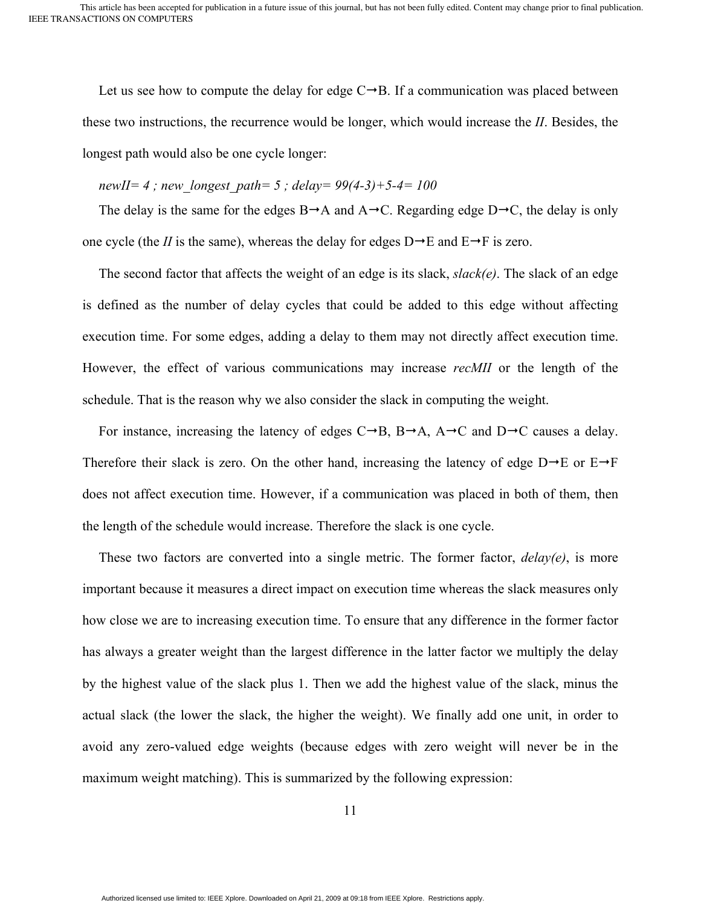Let us see how to compute the delay for edge  $C\rightarrow B$ . If a communication was placed between these two instructions, the recurrence would be longer, which would increase the *II*. Besides, the longest path would also be one cycle longer:

*newII= 4 ; new\_longest\_path= 5 ; delay= 99(4-3)+5-4= 100*

The delay is the same for the edges  $B\rightarrow A$  and  $A\rightarrow C$ . Regarding edge  $D\rightarrow C$ , the delay is only one cycle (the *II* is the same), whereas the delay for edges  $D \rightarrow E$  and  $E \rightarrow F$  is zero.

The second factor that affects the weight of an edge is its slack, *slack(e)*. The slack of an edge is defined as the number of delay cycles that could be added to this edge without affecting execution time. For some edges, adding a delay to them may not directly affect execution time. However, the effect of various communications may increase *recMII* or the length of the schedule. That is the reason why we also consider the slack in computing the weight.

For instance, increasing the latency of edges  $C \rightarrow B$ ,  $B \rightarrow A$ ,  $A \rightarrow C$  and  $D \rightarrow C$  causes a delay. Therefore their slack is zero. On the other hand, increasing the latency of edge  $D\rightarrow E$  or  $E\rightarrow F$ does not affect execution time. However, if a communication was placed in both of them, then the length of the schedule would increase. Therefore the slack is one cycle.

These two factors are converted into a single metric. The former factor, *delay(e)*, is more important because it measures a direct impact on execution time whereas the slack measures only how close we are to increasing execution time. To ensure that any difference in the former factor has always a greater weight than the largest difference in the latter factor we multiply the delay by the highest value of the slack plus 1. Then we add the highest value of the slack, minus the actual slack (the lower the slack, the higher the weight). We finally add one unit, in order to avoid any zero-valued edge weights (because edges with zero weight will never be in the maximum weight matching). This is summarized by the following expression: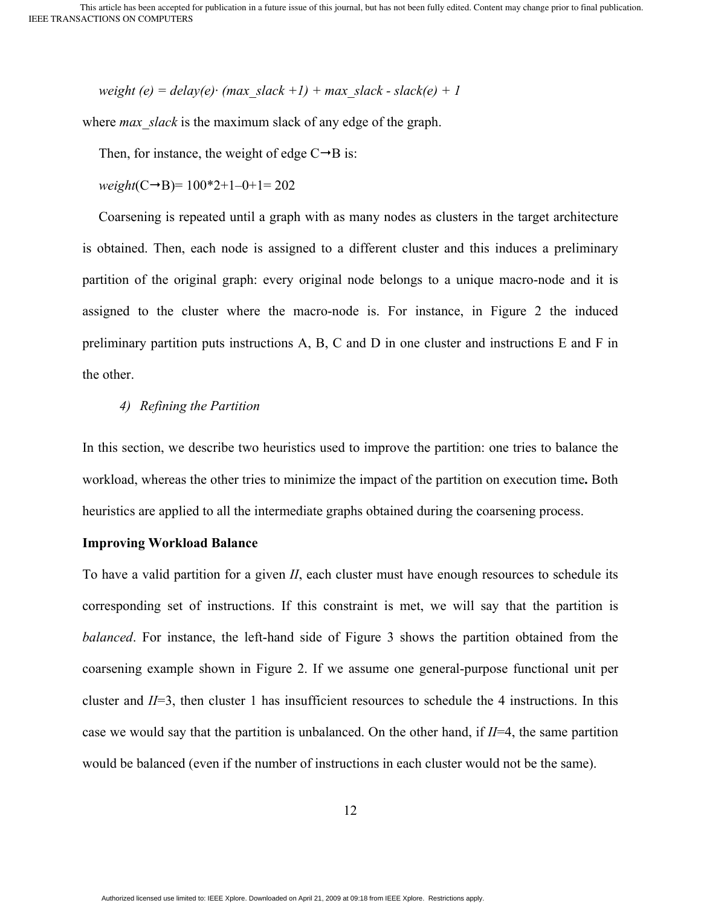*weight (e) = delay(e) (max\_slack +1) + max\_slack - slack(e) + 1* 

where *max* slack is the maximum slack of any edge of the graph.

Then, for instance, the weight of edge  $C \rightarrow B$  is:

 $weight(C \rightarrow B) = 100*2+1-0+1= 202$ 

Coarsening is repeated until a graph with as many nodes as clusters in the target architecture is obtained. Then, each node is assigned to a different cluster and this induces a preliminary partition of the original graph: every original node belongs to a unique macro-node and it is assigned to the cluster where the macro-node is. For instance, in Figure 2 the induced preliminary partition puts instructions A, B, C and D in one cluster and instructions E and F in the other.

#### *4) Refining the Partition*

In this section, we describe two heuristics used to improve the partition: one tries to balance the workload, whereas the other tries to minimize the impact of the partition on execution time**.** Both heuristics are applied to all the intermediate graphs obtained during the coarsening process.

# **Improving Workload Balance**

To have a valid partition for a given *II*, each cluster must have enough resources to schedule its corresponding set of instructions. If this constraint is met, we will say that the partition is *balanced*. For instance, the left-hand side of Figure 3 shows the partition obtained from the coarsening example shown in Figure 2. If we assume one general-purpose functional unit per cluster and  $II=3$ , then cluster 1 has insufficient resources to schedule the 4 instructions. In this case we would say that the partition is unbalanced. On the other hand, if *II*=4, the same partition would be balanced (even if the number of instructions in each cluster would not be the same).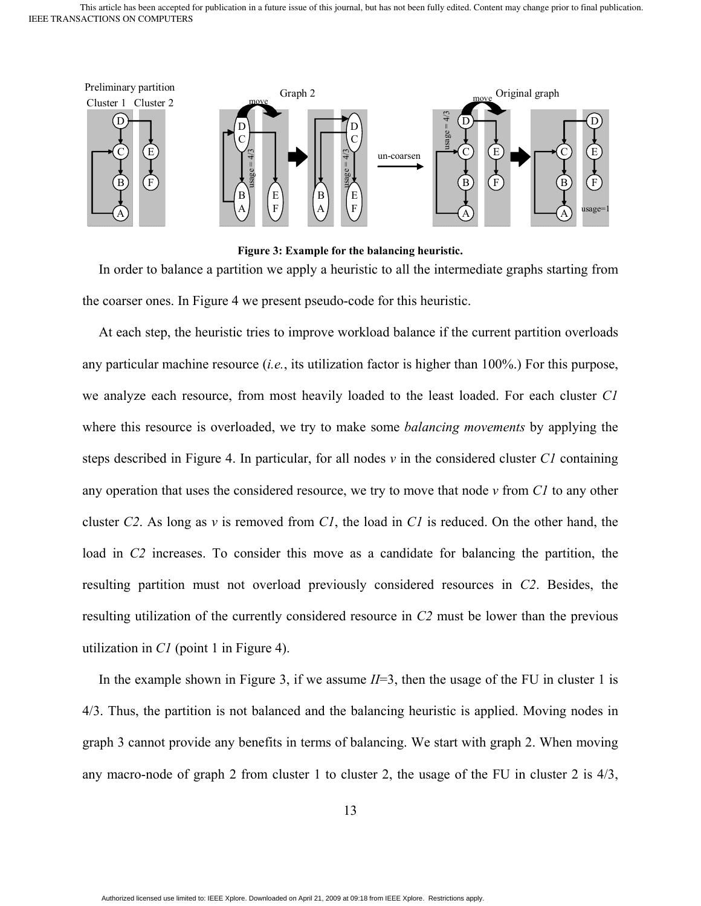IEEE TRANSACTIONS ON COMPUTERS This article has been accepted for publication in a future issue of this journal, but has not been fully edited. Content may change prior to final publication.



**Figure 3: Example for the balancing heuristic.** 

In order to balance a partition we apply a heuristic to all the intermediate graphs starting from the coarser ones. In Figure 4 we present pseudo-code for this heuristic.

At each step, the heuristic tries to improve workload balance if the current partition overloads any particular machine resource (*i.e.*, its utilization factor is higher than 100%.) For this purpose, we analyze each resource, from most heavily loaded to the least loaded. For each cluster *C1* where this resource is overloaded, we try to make some *balancing movements* by applying the steps described in Figure 4. In particular, for all nodes  $\nu$  in the considered cluster *C1* containing any operation that uses the considered resource, we try to move that node *v* from *C1* to any other cluster *C2*. As long as *v* is removed from *C1*, the load in *C1* is reduced. On the other hand, the load in *C2* increases. To consider this move as a candidate for balancing the partition, the resulting partition must not overload previously considered resources in *C2*. Besides, the resulting utilization of the currently considered resource in *C2* must be lower than the previous utilization in *C1* (point 1 in Figure 4).

In the example shown in Figure 3, if we assume *II*=3, then the usage of the FU in cluster 1 is 4/3. Thus, the partition is not balanced and the balancing heuristic is applied. Moving nodes in graph 3 cannot provide any benefits in terms of balancing. We start with graph 2. When moving any macro-node of graph 2 from cluster 1 to cluster 2, the usage of the FU in cluster 2 is 4/3,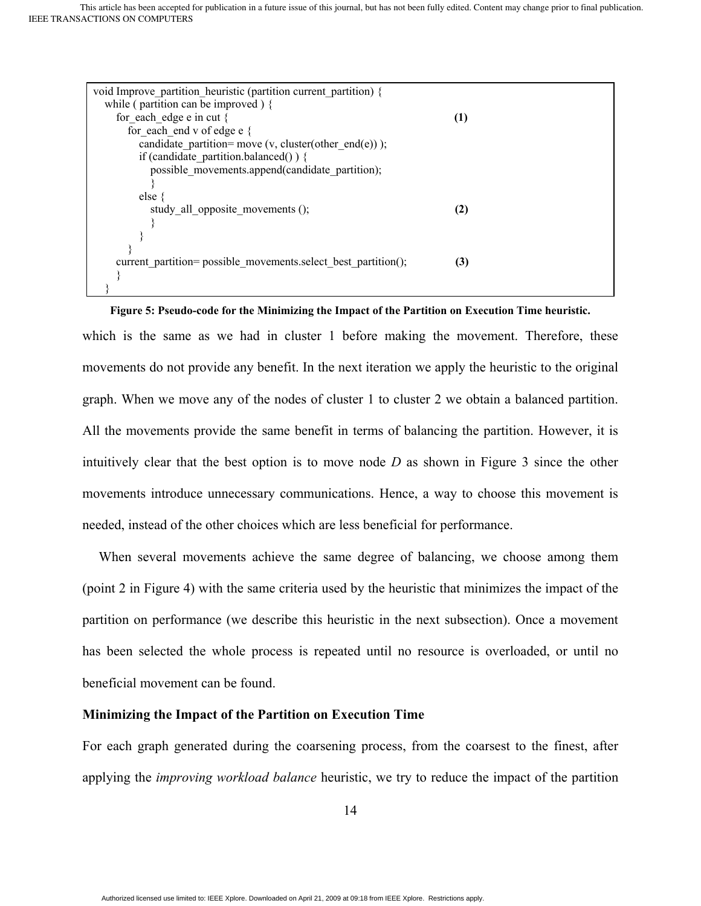| void Improve partition heuristic (partition current partition) { |     |
|------------------------------------------------------------------|-----|
| while ( partition can be improved ) $\{$                         |     |
| for each edge $e$ in cut {                                       | (1) |
| for each end v of edge e {                                       |     |
| candidate partition= move $(v, cluster(other\_end(e))$ ;         |     |
| if (candidate partition.balanced()) {                            |     |
| possible movements.append(candidate_partition);                  |     |
|                                                                  |     |
| else                                                             |     |
| study all opposite movements ();                                 | (2) |
|                                                                  |     |
|                                                                  |     |
|                                                                  |     |
| current partition= possible movements select best partition();   | (3) |
|                                                                  |     |
|                                                                  |     |

**Figure 5: Pseudo-code for the Minimizing the Impact of the Partition on Execution Time heuristic.** 

which is the same as we had in cluster 1 before making the movement. Therefore, these movements do not provide any benefit. In the next iteration we apply the heuristic to the original graph. When we move any of the nodes of cluster 1 to cluster 2 we obtain a balanced partition. All the movements provide the same benefit in terms of balancing the partition. However, it is intuitively clear that the best option is to move node *D* as shown in Figure 3 since the other movements introduce unnecessary communications. Hence, a way to choose this movement is needed, instead of the other choices which are less beneficial for performance.

When several movements achieve the same degree of balancing, we choose among them (point 2 in Figure 4) with the same criteria used by the heuristic that minimizes the impact of the partition on performance (we describe this heuristic in the next subsection). Once a movement has been selected the whole process is repeated until no resource is overloaded, or until no beneficial movement can be found.

# **Minimizing the Impact of the Partition on Execution Time**

For each graph generated during the coarsening process, from the coarsest to the finest, after applying the *improving workload balance* heuristic, we try to reduce the impact of the partition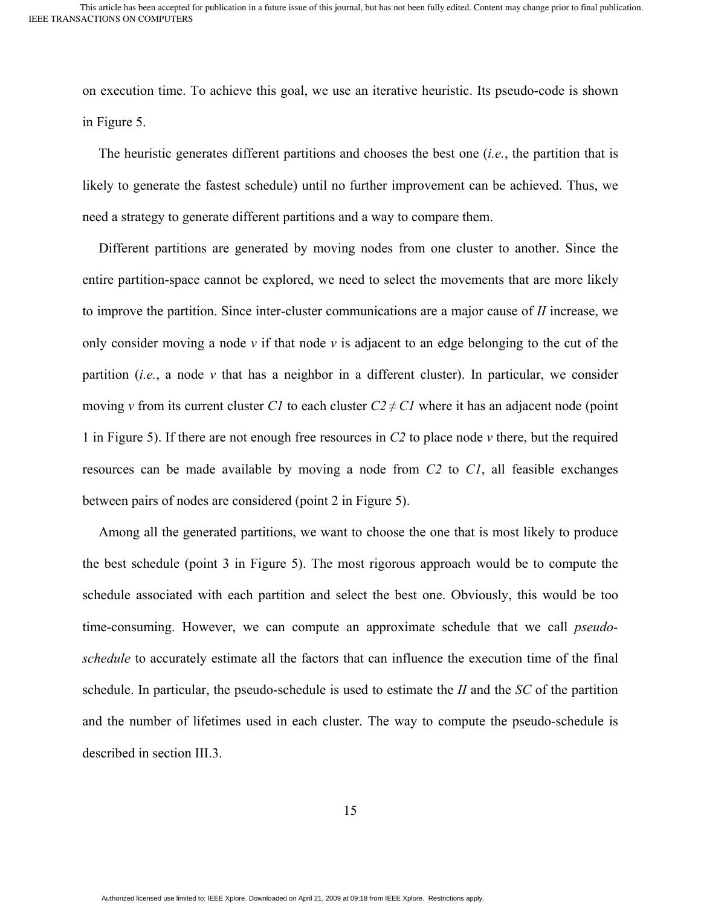on execution time. To achieve this goal, we use an iterative heuristic. Its pseudo-code is shown in Figure 5.

The heuristic generates different partitions and chooses the best one (*i.e.*, the partition that is likely to generate the fastest schedule) until no further improvement can be achieved. Thus, we need a strategy to generate different partitions and a way to compare them.

Different partitions are generated by moving nodes from one cluster to another. Since the entire partition-space cannot be explored, we need to select the movements that are more likely to improve the partition. Since inter-cluster communications are a major cause of *II* increase, we only consider moving a node  $\nu$  if that node  $\nu$  is adjacent to an edge belonging to the cut of the partition (*i.e.*, a node *v* that has a neighbor in a different cluster). In particular, we consider moving *v* from its current cluster *C1* to each cluster  $C2 \neq C1$  where it has an adjacent node (point 1 in Figure 5). If there are not enough free resources in *C2* to place node *v* there, but the required resources can be made available by moving a node from *C2* to *C1*, all feasible exchanges between pairs of nodes are considered (point 2 in Figure 5).

Among all the generated partitions, we want to choose the one that is most likely to produce the best schedule (point 3 in Figure 5). The most rigorous approach would be to compute the schedule associated with each partition and select the best one. Obviously, this would be too time-consuming. However, we can compute an approximate schedule that we call *pseudoschedule* to accurately estimate all the factors that can influence the execution time of the final schedule. In particular, the pseudo-schedule is used to estimate the *II* and the *SC* of the partition and the number of lifetimes used in each cluster. The way to compute the pseudo-schedule is described in section III.3.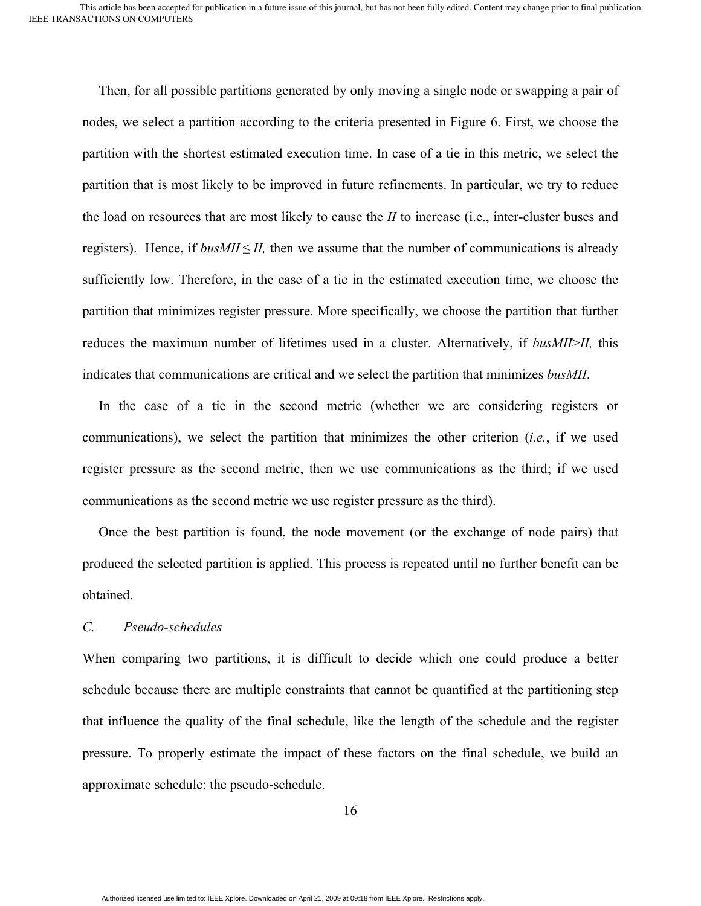IEEE TRANSACTIONS ON COMPUTERS This article has been accepted for publication in a future issue of this journal, but has not been fully edited. Content may change prior to final publication.

Then, for all possible partitions generated by only moving a single node or swapping a pair of nodes, we select a partition according to the criteria presented in Figure 6. First, we choose the partition with the shortest estimated execution time. In case of a tie in this metric, we select the partition that is most likely to be improved in future refinements. In particular, we try to reduce the load on resources that are most likely to cause the *II* to increase (i.e., inter-cluster buses and registers). Hence, if  $busMI \leq II$ , then we assume that the number of communications is already sufficiently low. Therefore, in the case of a tie in the estimated execution time, we choose the partition that minimizes register pressure. More specifically, we choose the partition that further reduces the maximum number of lifetimes used in a cluster. Alternatively, if *busMII*>*II,* this indicates that communications are critical and we select the partition that minimizes *busMII*.

In the case of a tie in the second metric (whether we are considering registers or communications), we select the partition that minimizes the other criterion (*i.e.*, if we used register pressure as the second metric, then we use communications as the third; if we used communications as the second metric we use register pressure as the third).

Once the best partition is found, the node movement (or the exchange of node pairs) that produced the selected partition is applied. This process is repeated until no further benefit can be obtained.

### *C. Pseudo-schedules*

When comparing two partitions, it is difficult to decide which one could produce a better schedule because there are multiple constraints that cannot be quantified at the partitioning step that influence the quality of the final schedule, like the length of the schedule and the register pressure. To properly estimate the impact of these factors on the final schedule, we build an approximate schedule: the pseudo-schedule.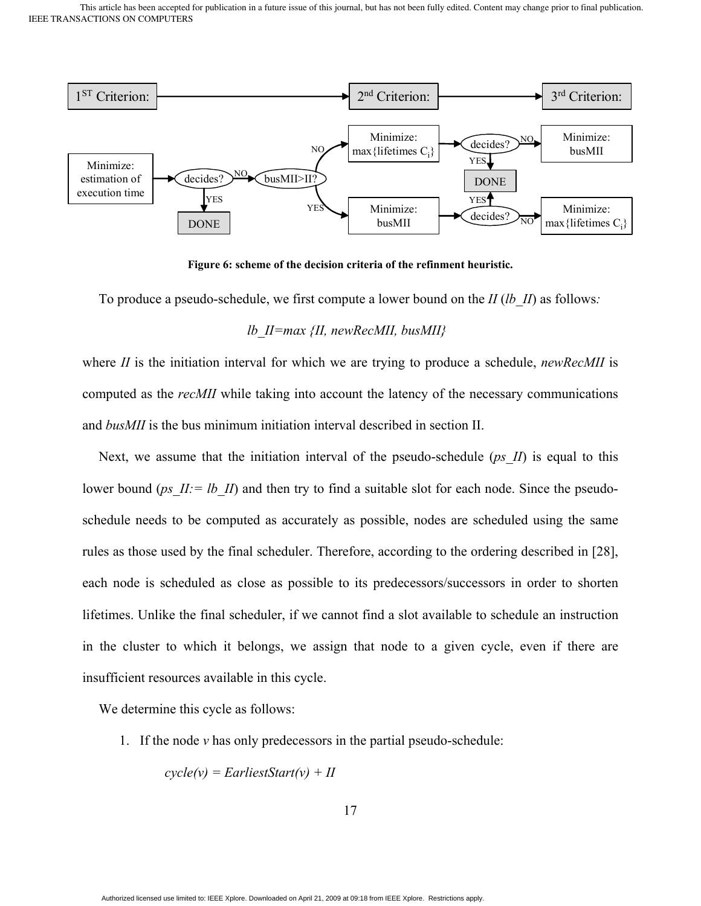IEEE TRANSACTIONS ON COMPUTERS This article has been accepted for publication in a future issue of this journal, but has not been fully edited. Content may change prior to final publication.



**Figure 6: scheme of the decision criteria of the refinment heuristic.** 

To produce a pseudo-schedule, we first compute a lower bound on the *II* (*lb\_II*) as follows*:* 

# *lb\_II=max {II, newRecMII, busMII}*

where *II* is the initiation interval for which we are trying to produce a schedule, *newRecMII* is computed as the *recMII* while taking into account the latency of the necessary communications and *busMII* is the bus minimum initiation interval described in section II.

Next, we assume that the initiation interval of the pseudo-schedule (*ps\_II*) is equal to this lower bound ( $ps$  II:= lb II) and then try to find a suitable slot for each node. Since the pseudoschedule needs to be computed as accurately as possible, nodes are scheduled using the same rules as those used by the final scheduler. Therefore, according to the ordering described in [28], each node is scheduled as close as possible to its predecessors/successors in order to shorten lifetimes. Unlike the final scheduler, if we cannot find a slot available to schedule an instruction in the cluster to which it belongs, we assign that node to a given cycle, even if there are insufficient resources available in this cycle.

We determine this cycle as follows:

1. If the node *v* has only predecessors in the partial pseudo-schedule:

*cycle(v) = EarliestStart(v) + II*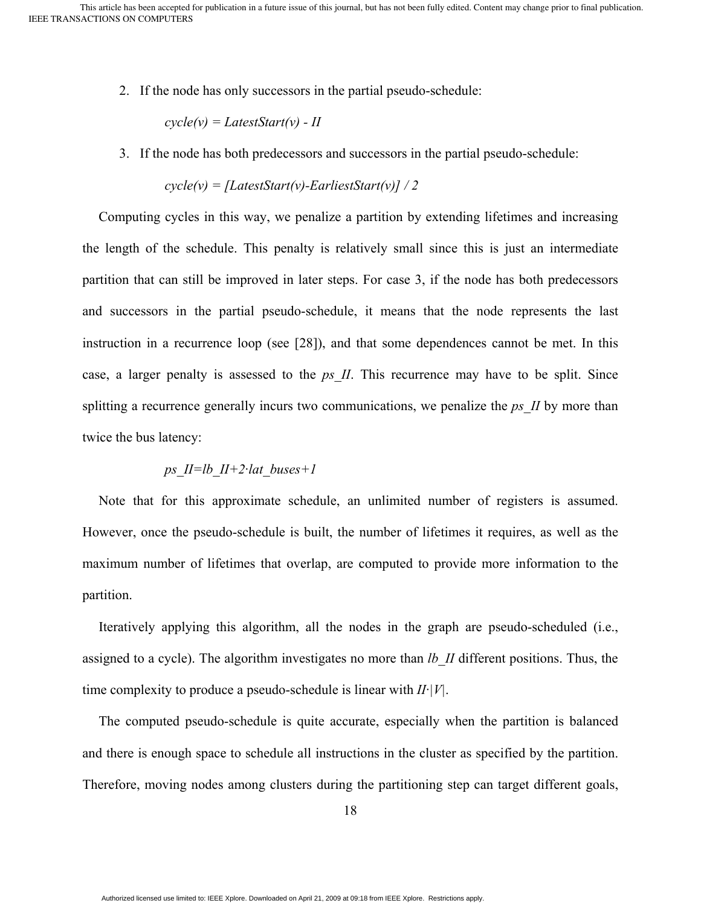2. If the node has only successors in the partial pseudo-schedule:

*cycle(v) = LatestStart(v) - II*

3. If the node has both predecessors and successors in the partial pseudo-schedule:

# *cycle(v) = [LatestStart(v)-EarliestStart(v)] / 2*

Computing cycles in this way, we penalize a partition by extending lifetimes and increasing the length of the schedule. This penalty is relatively small since this is just an intermediate partition that can still be improved in later steps. For case 3, if the node has both predecessors and successors in the partial pseudo-schedule, it means that the node represents the last instruction in a recurrence loop (see [28]), and that some dependences cannot be met. In this case, a larger penalty is assessed to the *ps\_II*. This recurrence may have to be split. Since splitting a recurrence generally incurs two communications, we penalize the *ps II* by more than twice the bus latency:

# *ps\_II=lb\_II+2·lat\_buses+1*

Note that for this approximate schedule, an unlimited number of registers is assumed. However, once the pseudo-schedule is built, the number of lifetimes it requires, as well as the maximum number of lifetimes that overlap, are computed to provide more information to the partition.

Iteratively applying this algorithm, all the nodes in the graph are pseudo-scheduled (i.e., assigned to a cycle). The algorithm investigates no more than *lb\_II* different positions. Thus, the time complexity to produce a pseudo-schedule is linear with *II·|V|*.

The computed pseudo-schedule is quite accurate, especially when the partition is balanced and there is enough space to schedule all instructions in the cluster as specified by the partition. Therefore, moving nodes among clusters during the partitioning step can target different goals,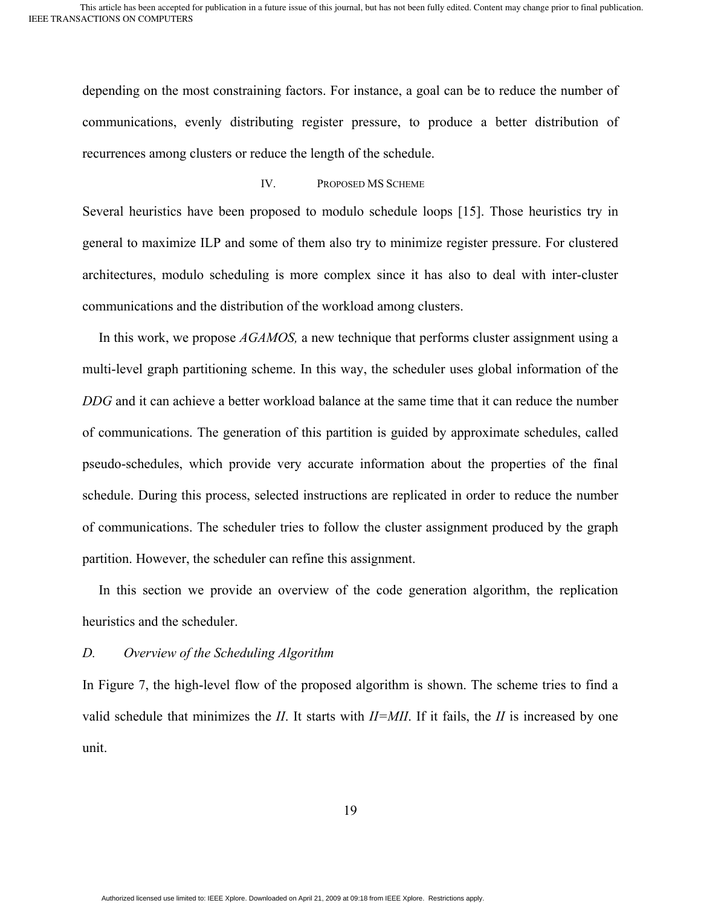depending on the most constraining factors. For instance, a goal can be to reduce the number of communications, evenly distributing register pressure, to produce a better distribution of recurrences among clusters or reduce the length of the schedule.

### IV. PROPOSED MS SCHEME

Several heuristics have been proposed to modulo schedule loops [15]. Those heuristics try in general to maximize ILP and some of them also try to minimize register pressure. For clustered architectures, modulo scheduling is more complex since it has also to deal with inter-cluster communications and the distribution of the workload among clusters.

In this work, we propose *AGAMOS,* a new technique that performs cluster assignment using a multi-level graph partitioning scheme. In this way, the scheduler uses global information of the *DDG* and it can achieve a better workload balance at the same time that it can reduce the number of communications. The generation of this partition is guided by approximate schedules, called pseudo-schedules, which provide very accurate information about the properties of the final schedule. During this process, selected instructions are replicated in order to reduce the number of communications. The scheduler tries to follow the cluster assignment produced by the graph partition. However, the scheduler can refine this assignment.

In this section we provide an overview of the code generation algorithm, the replication heuristics and the scheduler.

# *D. Overview of the Scheduling Algorithm*

In Figure 7, the high-level flow of the proposed algorithm is shown. The scheme tries to find a valid schedule that minimizes the *II*. It starts with  $II = MII$ . If it fails, the *II* is increased by one unit.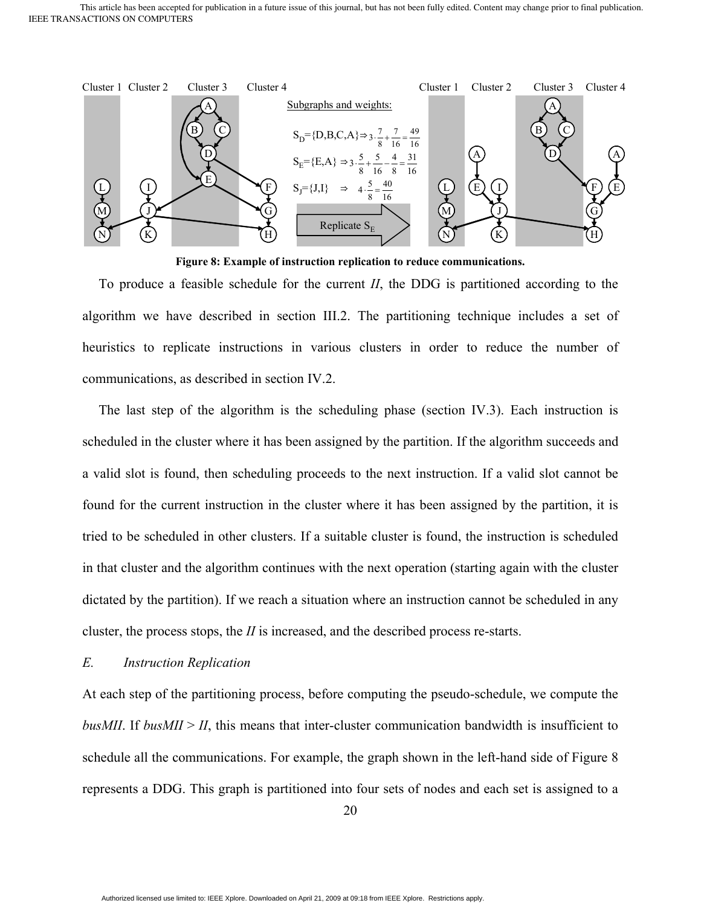

**Figure 8: Example of instruction replication to reduce communications.** 

To produce a feasible schedule for the current *II*, the DDG is partitioned according to the algorithm we have described in section III.2. The partitioning technique includes a set of heuristics to replicate instructions in various clusters in order to reduce the number of communications, as described in section IV.2.

The last step of the algorithm is the scheduling phase (section IV.3). Each instruction is scheduled in the cluster where it has been assigned by the partition. If the algorithm succeeds and a valid slot is found, then scheduling proceeds to the next instruction. If a valid slot cannot be found for the current instruction in the cluster where it has been assigned by the partition, it is tried to be scheduled in other clusters. If a suitable cluster is found, the instruction is scheduled in that cluster and the algorithm continues with the next operation (starting again with the cluster dictated by the partition). If we reach a situation where an instruction cannot be scheduled in any cluster, the process stops, the *II* is increased, and the described process re-starts.

# *E. Instruction Replication*

At each step of the partitioning process, before computing the pseudo-schedule, we compute the *busMII*. If *busMII* > *II*, this means that inter-cluster communication bandwidth is insufficient to schedule all the communications. For example, the graph shown in the left-hand side of Figure 8 represents a DDG. This graph is partitioned into four sets of nodes and each set is assigned to a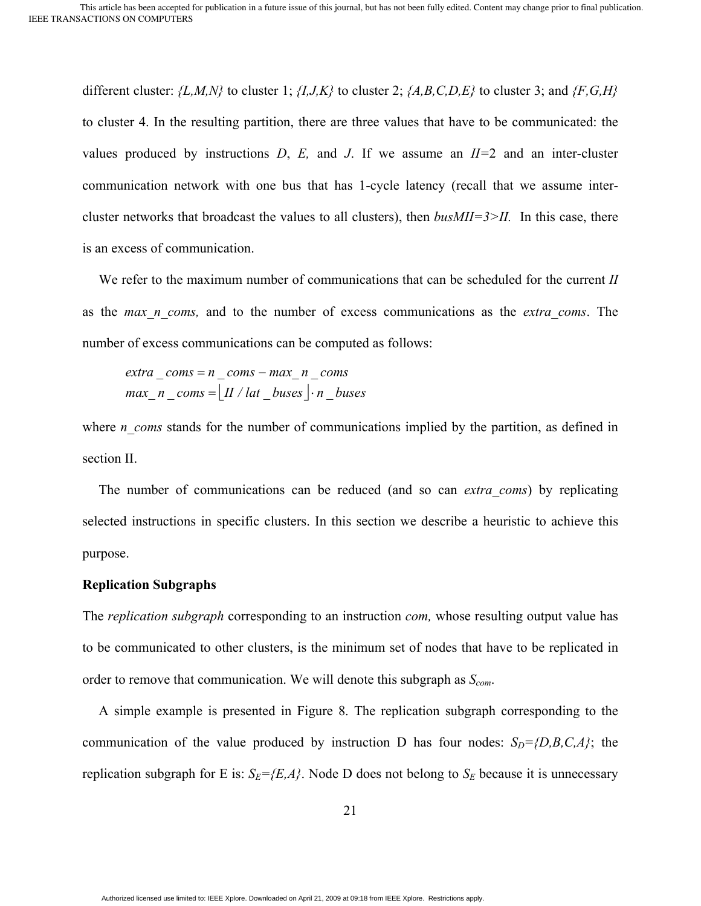different cluster: *{L,M,N}* to cluster 1; *{I,J,K}* to cluster 2; *{A,B,C,D,E}* to cluster 3; and *{F,G,H}* to cluster 4. In the resulting partition, there are three values that have to be communicated: the values produced by instructions  $D$ ,  $E$ , and  $J$ . If we assume an  $II=2$  and an inter-cluster communication network with one bus that has 1-cycle latency (recall that we assume intercluster networks that broadcast the values to all clusters), then *busMII=3>II.* In this case, there is an excess of communication.

We refer to the maximum number of communications that can be scheduled for the current *II* as the *max\_n\_coms,* and to the number of excess communications as the *extra\_coms*. The number of excess communications can be computed as follows:

 $max_n$  *n*  $\_cons =$   $\boxed{II / lat\_buses \cdot n}$  *\_buses*  $ext{r}a$   $coms = n$   $coms - max$   $n$   $coms$ 

where *n* coms stands for the number of communications implied by the partition, as defined in section II.

The number of communications can be reduced (and so can *extra\_coms*) by replicating selected instructions in specific clusters. In this section we describe a heuristic to achieve this purpose.

# **Replication Subgraphs**

The *replication subgraph* corresponding to an instruction *com,* whose resulting output value has to be communicated to other clusters, is the minimum set of nodes that have to be replicated in order to remove that communication. We will denote this subgraph as  $S_{com}$ .

A simple example is presented in Figure 8. The replication subgraph corresponding to the communication of the value produced by instruction D has four nodes:  $S_D = \{D, B, C, A\}$ ; the replication subgraph for E is:  $S_E = \{E, A\}$ . Node D does not belong to  $S_E$  because it is unnecessary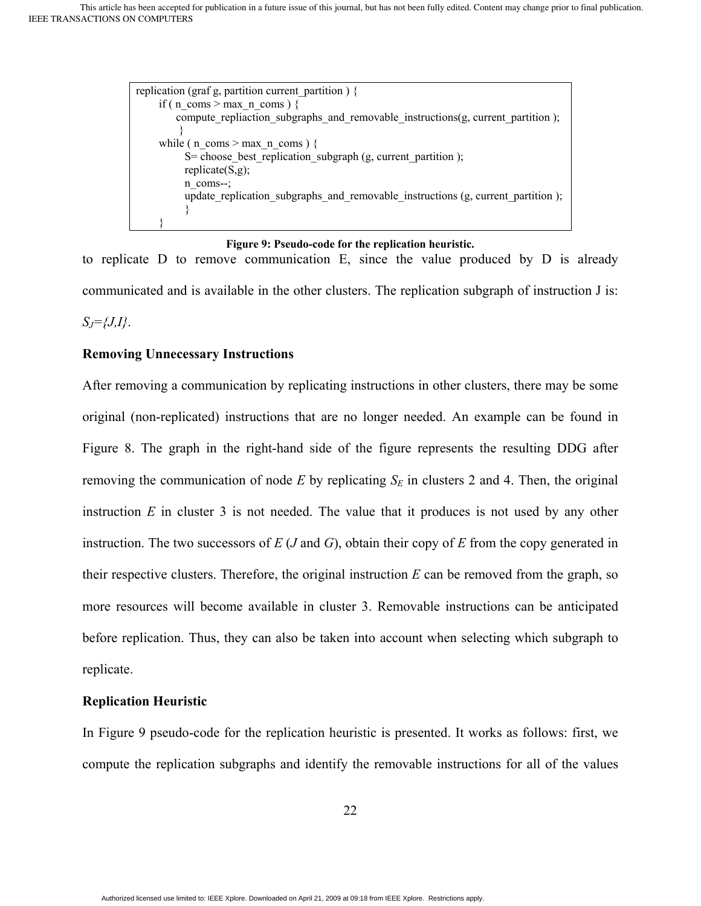replication (graf g, partition current partition )  $\{$ if ( n\_coms > max\_n\_coms ) { compute repliaction subgraphs and removable instructions(g, current partition );  $\left\{\begin{array}{cc} \end{array}\right\}$ while ( n\_coms > max\_n\_coms ) { S= choose best replication subgraph (g, current partition );  $replicate(S,g);$ n coms--; update replication subgraphs and removable instructions (g, current partition ); } }

**Figure 9: Pseudo-code for the replication heuristic.** 

to replicate D to remove communication E, since the value produced by D is already communicated and is available in the other clusters. The replication subgraph of instruction J is: *SJ={J,I}*.

# **Removing Unnecessary Instructions**

After removing a communication by replicating instructions in other clusters, there may be some original (non-replicated) instructions that are no longer needed. An example can be found in Figure 8. The graph in the right-hand side of the figure represents the resulting DDG after removing the communication of node E by replicating  $S_E$  in clusters 2 and 4. Then, the original instruction *E* in cluster 3 is not needed. The value that it produces is not used by any other instruction. The two successors of *E* (*J* and *G*), obtain their copy of *E* from the copy generated in their respective clusters. Therefore, the original instruction  $E$  can be removed from the graph, so more resources will become available in cluster 3. Removable instructions can be anticipated before replication. Thus, they can also be taken into account when selecting which subgraph to replicate.

# **Replication Heuristic**

In Figure 9 pseudo-code for the replication heuristic is presented. It works as follows: first, we compute the replication subgraphs and identify the removable instructions for all of the values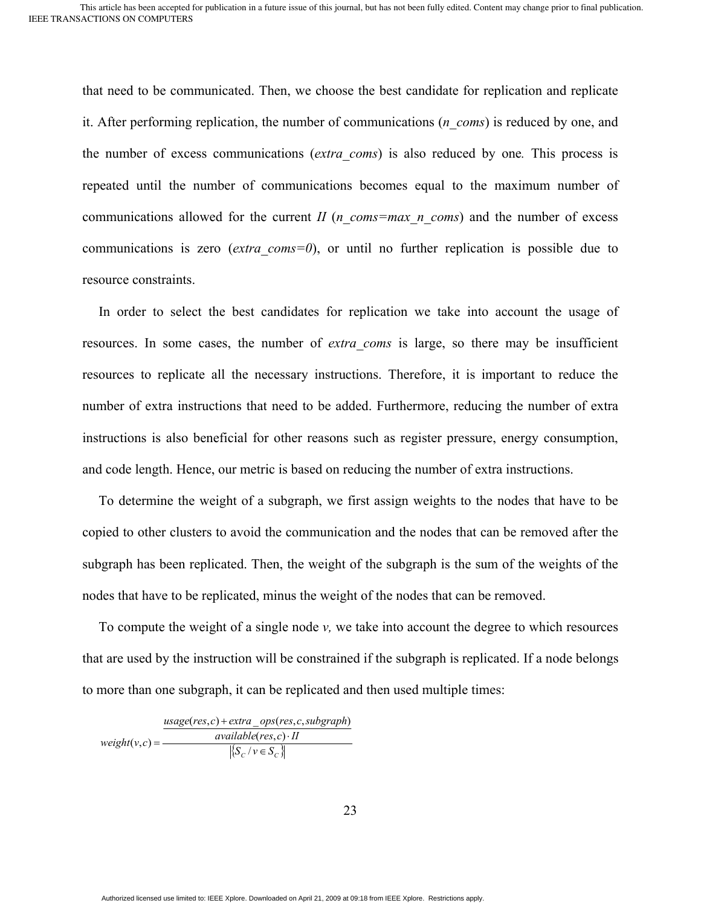that need to be communicated. Then, we choose the best candidate for replication and replicate it. After performing replication, the number of communications (*n\_coms*) is reduced by one, and the number of excess communications (*extra\_coms*) is also reduced by one*.* This process is repeated until the number of communications becomes equal to the maximum number of communications allowed for the current *II* (*n\_coms=max\_n\_coms*) and the number of excess communications is zero (*extra\_coms=0*), or until no further replication is possible due to resource constraints.

In order to select the best candidates for replication we take into account the usage of resources. In some cases, the number of *extra\_coms* is large, so there may be insufficient resources to replicate all the necessary instructions. Therefore, it is important to reduce the number of extra instructions that need to be added. Furthermore, reducing the number of extra instructions is also beneficial for other reasons such as register pressure, energy consumption, and code length. Hence, our metric is based on reducing the number of extra instructions.

To determine the weight of a subgraph, we first assign weights to the nodes that have to be copied to other clusters to avoid the communication and the nodes that can be removed after the subgraph has been replicated. Then, the weight of the subgraph is the sum of the weights of the nodes that have to be replicated, minus the weight of the nodes that can be removed.

To compute the weight of a single node *v,* we take into account the degree to which resources that are used by the instruction will be constrained if the subgraph is replicated. If a node belongs to more than one subgraph, it can be replicated and then used multiple times:

 $= \frac{$  \frac{ }{2}}{\left|\left\{S\_{C}/v \in S\_{C}\right\}\right|}  $available(res,c) \cdot II$  $usage(res, c) + extra$   $ops(res, c, subgraph)$  $weight(v, c) =$   $\frac{quantistic(t, c)}{|S_c/v \in c}$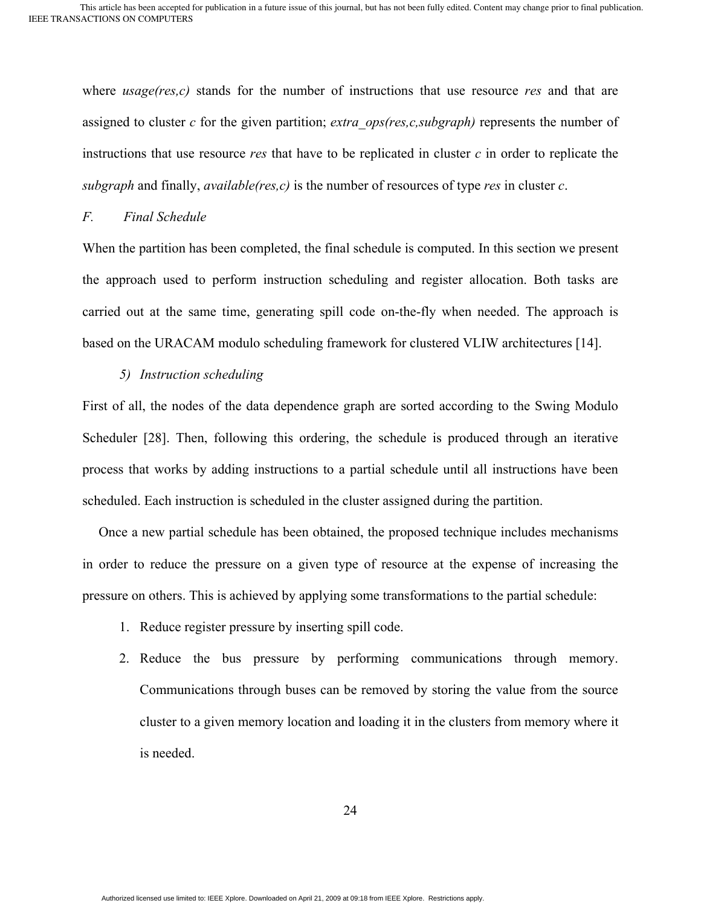where *usage(res,c)* stands for the number of instructions that use resource *res* and that are assigned to cluster *c* for the given partition; *extra\_ops(res,c,subgraph)* represents the number of instructions that use resource *res* that have to be replicated in cluster  $c$  in order to replicate the *subgraph* and finally, *available(res,c)* is the number of resources of type *res* in cluster *c*.

# *F. Final Schedule*

When the partition has been completed, the final schedule is computed. In this section we present the approach used to perform instruction scheduling and register allocation. Both tasks are carried out at the same time, generating spill code on-the-fly when needed. The approach is based on the URACAM modulo scheduling framework for clustered VLIW architectures [14].

# *5) Instruction scheduling*

First of all, the nodes of the data dependence graph are sorted according to the Swing Modulo Scheduler [28]. Then, following this ordering, the schedule is produced through an iterative process that works by adding instructions to a partial schedule until all instructions have been scheduled. Each instruction is scheduled in the cluster assigned during the partition.

Once a new partial schedule has been obtained, the proposed technique includes mechanisms in order to reduce the pressure on a given type of resource at the expense of increasing the pressure on others. This is achieved by applying some transformations to the partial schedule:

- 1. Reduce register pressure by inserting spill code.
- 2. Reduce the bus pressure by performing communications through memory. Communications through buses can be removed by storing the value from the source cluster to a given memory location and loading it in the clusters from memory where it is needed.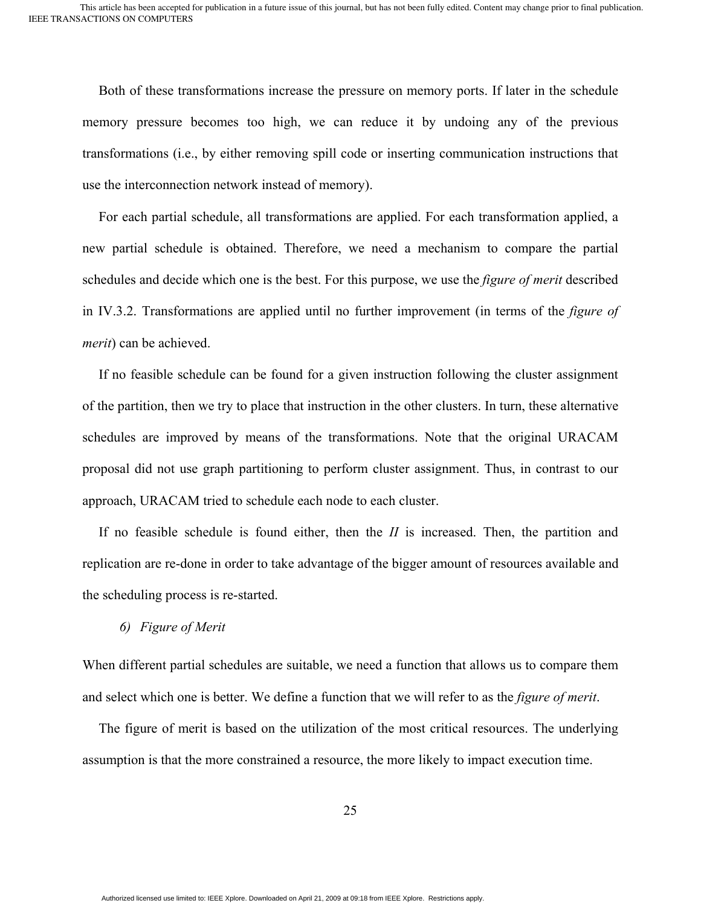Both of these transformations increase the pressure on memory ports. If later in the schedule memory pressure becomes too high, we can reduce it by undoing any of the previous transformations (i.e., by either removing spill code or inserting communication instructions that use the interconnection network instead of memory).

For each partial schedule, all transformations are applied. For each transformation applied, a new partial schedule is obtained. Therefore, we need a mechanism to compare the partial schedules and decide which one is the best. For this purpose, we use the *figure of merit* described in IV.3.2. Transformations are applied until no further improvement (in terms of the *figure of merit*) can be achieved.

If no feasible schedule can be found for a given instruction following the cluster assignment of the partition, then we try to place that instruction in the other clusters. In turn, these alternative schedules are improved by means of the transformations. Note that the original URACAM proposal did not use graph partitioning to perform cluster assignment. Thus, in contrast to our approach, URACAM tried to schedule each node to each cluster.

If no feasible schedule is found either, then the *II* is increased. Then, the partition and replication are re-done in order to take advantage of the bigger amount of resources available and the scheduling process is re-started.

# *6) Figure of Merit*

When different partial schedules are suitable, we need a function that allows us to compare them and select which one is better. We define a function that we will refer to as the *figure of merit*.

The figure of merit is based on the utilization of the most critical resources. The underlying assumption is that the more constrained a resource, the more likely to impact execution time.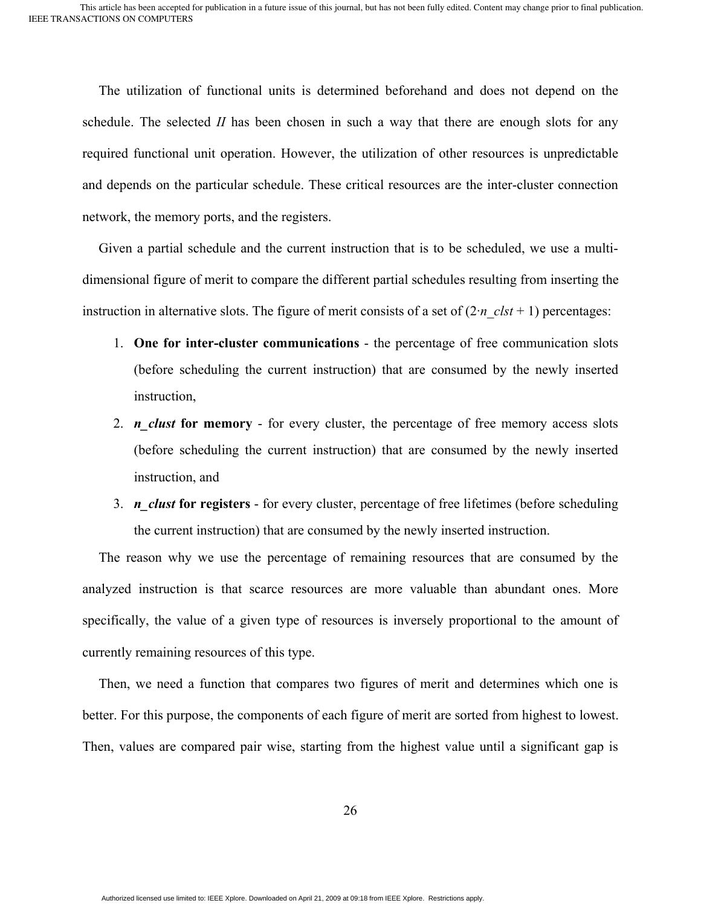The utilization of functional units is determined beforehand and does not depend on the schedule. The selected *II* has been chosen in such a way that there are enough slots for any required functional unit operation. However, the utilization of other resources is unpredictable and depends on the particular schedule. These critical resources are the inter-cluster connection network, the memory ports, and the registers.

Given a partial schedule and the current instruction that is to be scheduled, we use a multidimensional figure of merit to compare the different partial schedules resulting from inserting the instruction in alternative slots. The figure of merit consists of a set of  $(2 \cdot n \text{ } clst + 1)$  percentages:

- 1. **One for inter-cluster communications**  the percentage of free communication slots (before scheduling the current instruction) that are consumed by the newly inserted instruction,
- 2. *n* clust for memory for every cluster, the percentage of free memory access slots (before scheduling the current instruction) that are consumed by the newly inserted instruction, and
- 3. *n\_clust* **for registers** for every cluster, percentage of free lifetimes (before scheduling the current instruction) that are consumed by the newly inserted instruction.

The reason why we use the percentage of remaining resources that are consumed by the analyzed instruction is that scarce resources are more valuable than abundant ones. More specifically, the value of a given type of resources is inversely proportional to the amount of currently remaining resources of this type.

Then, we need a function that compares two figures of merit and determines which one is better. For this purpose, the components of each figure of merit are sorted from highest to lowest. Then, values are compared pair wise, starting from the highest value until a significant gap is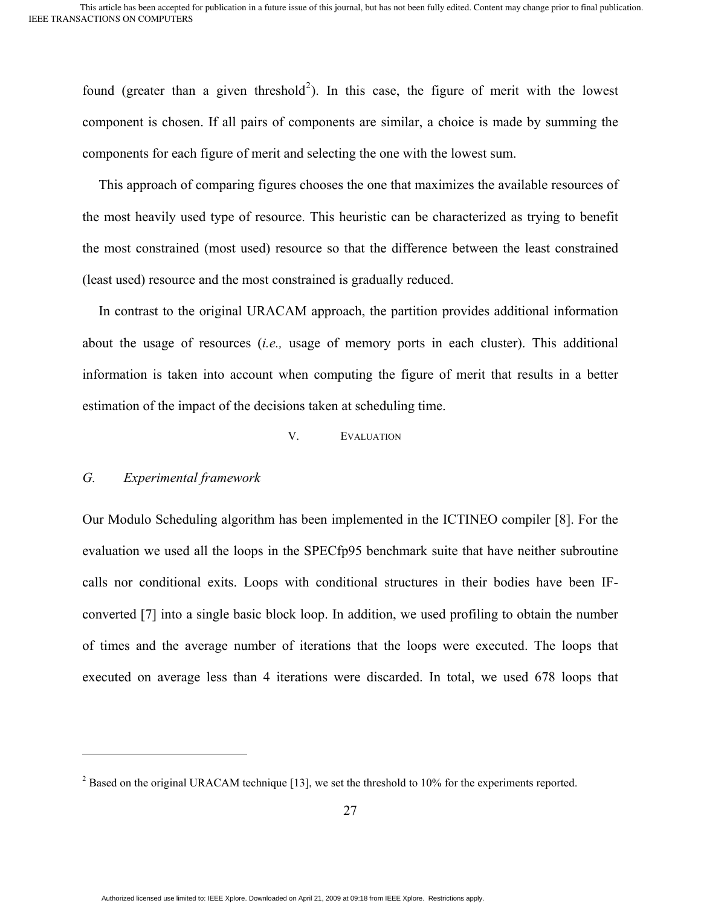found (greater than a given threshold<sup>2</sup>). In this case, the figure of merit with the lowest component is chosen. If all pairs of components are similar, a choice is made by summing the components for each figure of merit and selecting the one with the lowest sum.

This approach of comparing figures chooses the one that maximizes the available resources of the most heavily used type of resource. This heuristic can be characterized as trying to benefit the most constrained (most used) resource so that the difference between the least constrained (least used) resource and the most constrained is gradually reduced.

In contrast to the original URACAM approach, the partition provides additional information about the usage of resources (*i.e.,* usage of memory ports in each cluster). This additional information is taken into account when computing the figure of merit that results in a better estimation of the impact of the decisions taken at scheduling time.

#### V. EVALUATION

### *G. Experimental framework*

 $\overline{a}$ 

Our Modulo Scheduling algorithm has been implemented in the ICTINEO compiler [8]. For the evaluation we used all the loops in the SPECfp95 benchmark suite that have neither subroutine calls nor conditional exits. Loops with conditional structures in their bodies have been IFconverted [7] into a single basic block loop. In addition, we used profiling to obtain the number of times and the average number of iterations that the loops were executed. The loops that executed on average less than 4 iterations were discarded. In total, we used 678 loops that

<sup>&</sup>lt;sup>2</sup> Based on the original URACAM technique [13], we set the threshold to 10% for the experiments reported.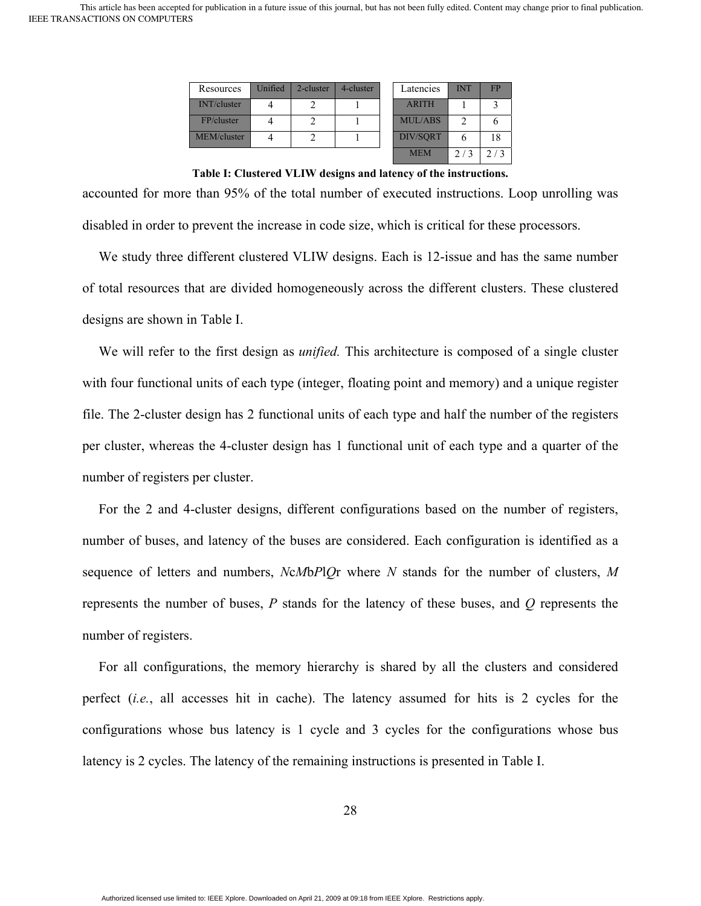| Resources   | Unified | 2-cluster | 4-cluster |  | Latencies       | <b>INT</b> | FP         |
|-------------|---------|-----------|-----------|--|-----------------|------------|------------|
| INT/cluster |         |           |           |  | <b>ARITH</b>    |            |            |
| FP/cluster  |         |           |           |  | <b>MUL/ABS</b>  |            |            |
| MEM/cluster |         |           |           |  | <b>DIV/SORT</b> |            | 18         |
|             |         |           |           |  | MEM             |            | $\sqrt{2}$ |

| fied | 2-cluster | 4-cluster | Latencies       | <b>INT</b> | FP  |
|------|-----------|-----------|-----------------|------------|-----|
|      |           |           | <b>ARITH</b>    |            |     |
|      |           |           | MUL/ABS         |            |     |
|      |           |           | <b>DIV/SQRT</b> |            | 18  |
|      |           |           | <b>MEM</b>      | 2/3        | 2/3 |

**Table I: Clustered VLIW designs and latency of the instructions.** 

accounted for more than 95% of the total number of executed instructions. Loop unrolling was disabled in order to prevent the increase in code size, which is critical for these processors.

We study three different clustered VLIW designs. Each is 12-issue and has the same number of total resources that are divided homogeneously across the different clusters. These clustered designs are shown in Table I.

We will refer to the first design as *unified.* This architecture is composed of a single cluster with four functional units of each type (integer, floating point and memory) and a unique register file. The 2-cluster design has 2 functional units of each type and half the number of the registers per cluster, whereas the 4-cluster design has 1 functional unit of each type and a quarter of the number of registers per cluster.

For the 2 and 4-cluster designs, different configurations based on the number of registers, number of buses, and latency of the buses are considered. Each configuration is identified as a sequence of letters and numbers, *N*c*M*b*P*l*Q*r where *N* stands for the number of clusters, *M* represents the number of buses, *P* stands for the latency of these buses, and *Q* represents the number of registers.

For all configurations, the memory hierarchy is shared by all the clusters and considered perfect (*i.e.*, all accesses hit in cache). The latency assumed for hits is 2 cycles for the configurations whose bus latency is 1 cycle and 3 cycles for the configurations whose bus latency is 2 cycles. The latency of the remaining instructions is presented in Table I.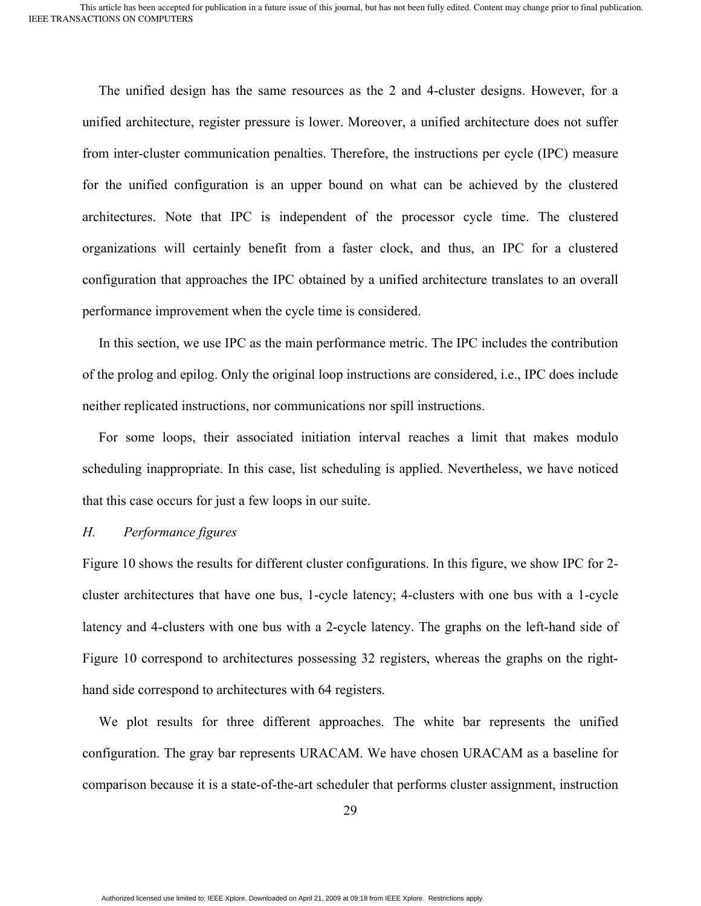The unified design has the same resources as the 2 and 4-cluster designs. However, for a unified architecture, register pressure is lower. Moreover, a unified architecture does not suffer from inter-cluster communication penalties. Therefore, the instructions per cycle (IPC) measure for the unified configuration is an upper bound on what can be achieved by the clustered architectures. Note that IPC is independent of the processor cycle time. The clustered organizations will certainly benefit from a faster clock, and thus, an IPC for a clustered configuration that approaches the IPC obtained by a unified architecture translates to an overall performance improvement when the cycle time is considered.

In this section, we use IPC as the main performance metric. The IPC includes the contribution of the prolog and epilog. Only the original loop instructions are considered, i.e., IPC does include neither replicated instructions, nor communications nor spill instructions.

For some loops, their associated initiation interval reaches a limit that makes modulo scheduling inappropriate. In this case, list scheduling is applied. Nevertheless, we have noticed that this case occurs for just a few loops in our suite.

# *H. Performance figures*

Figure 10 shows the results for different cluster configurations. In this figure, we show IPC for 2 cluster architectures that have one bus, 1-cycle latency; 4-clusters with one bus with a 1-cycle latency and 4-clusters with one bus with a 2-cycle latency. The graphs on the left-hand side of Figure 10 correspond to architectures possessing 32 registers, whereas the graphs on the righthand side correspond to architectures with 64 registers.

We plot results for three different approaches. The white bar represents the unified configuration. The gray bar represents URACAM. We have chosen URACAM as a baseline for comparison because it is a state-of-the-art scheduler that performs cluster assignment, instruction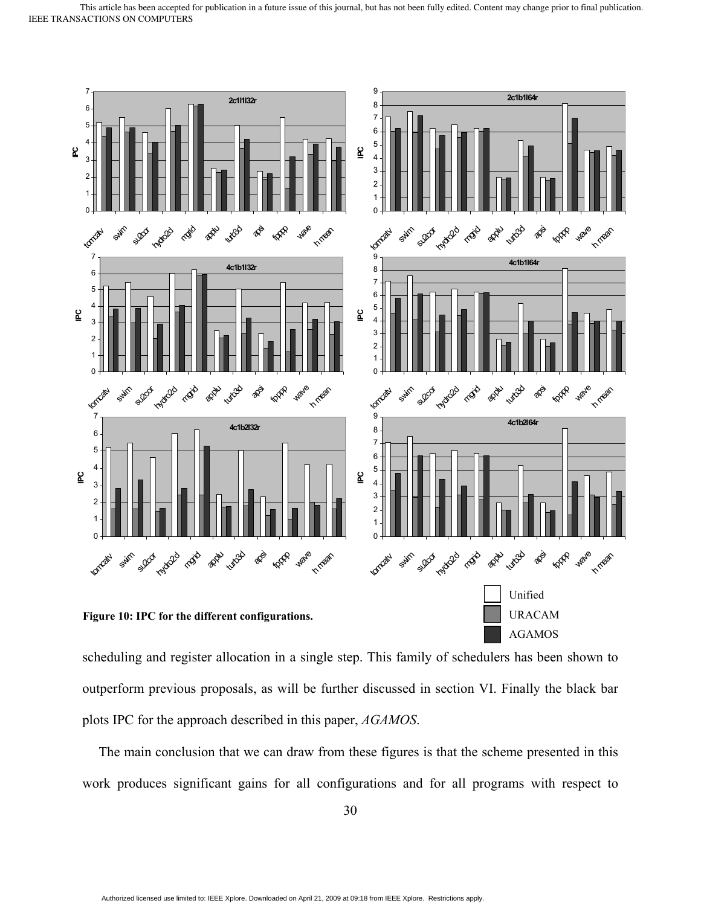

scheduling and register allocation in a single step. This family of schedulers has been shown to outperform previous proposals, as will be further discussed in section VI. Finally the black bar plots IPC for the approach described in this paper, *AGAMOS*.

The main conclusion that we can draw from these figures is that the scheme presented in this work produces significant gains for all configurations and for all programs with respect to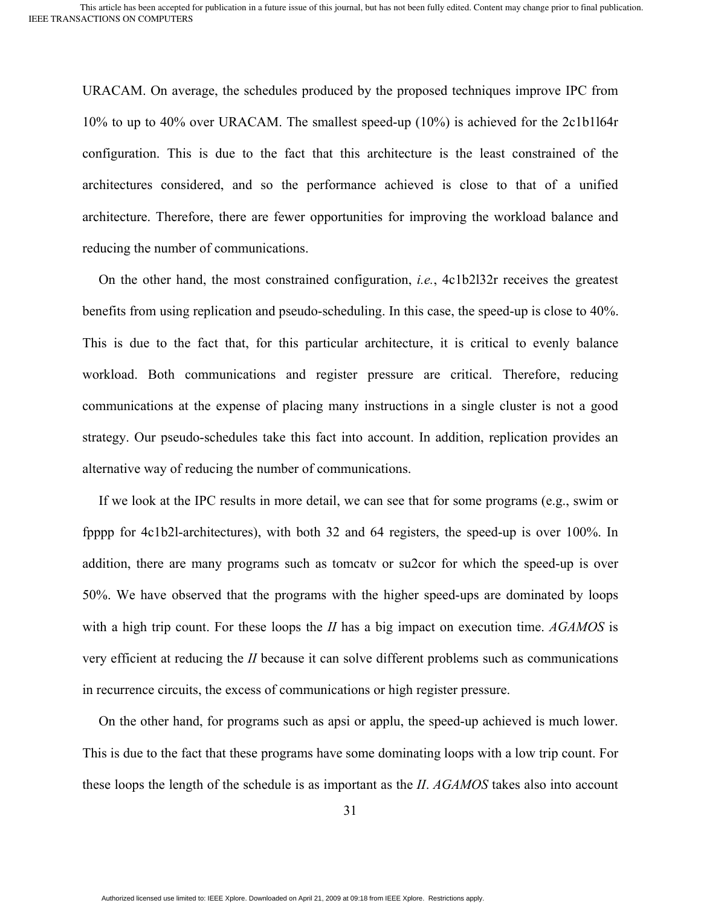URACAM. On average, the schedules produced by the proposed techniques improve IPC from 10% to up to 40% over URACAM. The smallest speed-up (10%) is achieved for the 2c1b1l64r configuration. This is due to the fact that this architecture is the least constrained of the architectures considered, and so the performance achieved is close to that of a unified architecture. Therefore, there are fewer opportunities for improving the workload balance and reducing the number of communications.

On the other hand, the most constrained configuration, *i.e.*, 4c1b2l32r receives the greatest benefits from using replication and pseudo-scheduling. In this case, the speed-up is close to 40%. This is due to the fact that, for this particular architecture, it is critical to evenly balance workload. Both communications and register pressure are critical. Therefore, reducing communications at the expense of placing many instructions in a single cluster is not a good strategy. Our pseudo-schedules take this fact into account. In addition, replication provides an alternative way of reducing the number of communications.

If we look at the IPC results in more detail, we can see that for some programs (e.g., swim or fpppp for 4c1b2l-architectures), with both 32 and 64 registers, the speed-up is over 100%. In addition, there are many programs such as tomcatv or su2cor for which the speed-up is over 50%. We have observed that the programs with the higher speed-ups are dominated by loops with a high trip count. For these loops the *II* has a big impact on execution time. *AGAMOS* is very efficient at reducing the *II* because it can solve different problems such as communications in recurrence circuits, the excess of communications or high register pressure.

On the other hand, for programs such as apsi or applu, the speed-up achieved is much lower. This is due to the fact that these programs have some dominating loops with a low trip count. For these loops the length of the schedule is as important as the *II*. *AGAMOS* takes also into account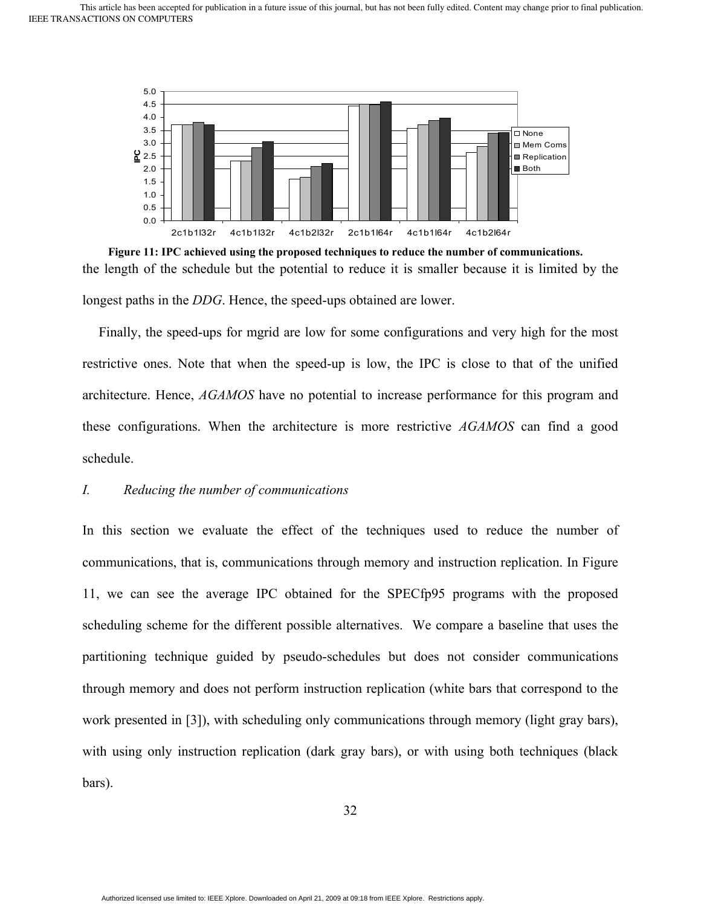IEEE TRANSACTIONS ON COMPUTERS This article has been accepted for publication in a future issue of this journal, but has not been fully edited. Content may change prior to final publication.





Finally, the speed-ups for mgrid are low for some configurations and very high for the most restrictive ones. Note that when the speed-up is low, the IPC is close to that of the unified architecture. Hence, *AGAMOS* have no potential to increase performance for this program and these configurations. When the architecture is more restrictive *AGAMOS* can find a good schedule.

### *I. Reducing the number of communications*

In this section we evaluate the effect of the techniques used to reduce the number of communications, that is, communications through memory and instruction replication. In Figure 11, we can see the average IPC obtained for the SPECfp95 programs with the proposed scheduling scheme for the different possible alternatives. We compare a baseline that uses the partitioning technique guided by pseudo-schedules but does not consider communications through memory and does not perform instruction replication (white bars that correspond to the work presented in [3]), with scheduling only communications through memory (light gray bars), with using only instruction replication (dark gray bars), or with using both techniques (black bars).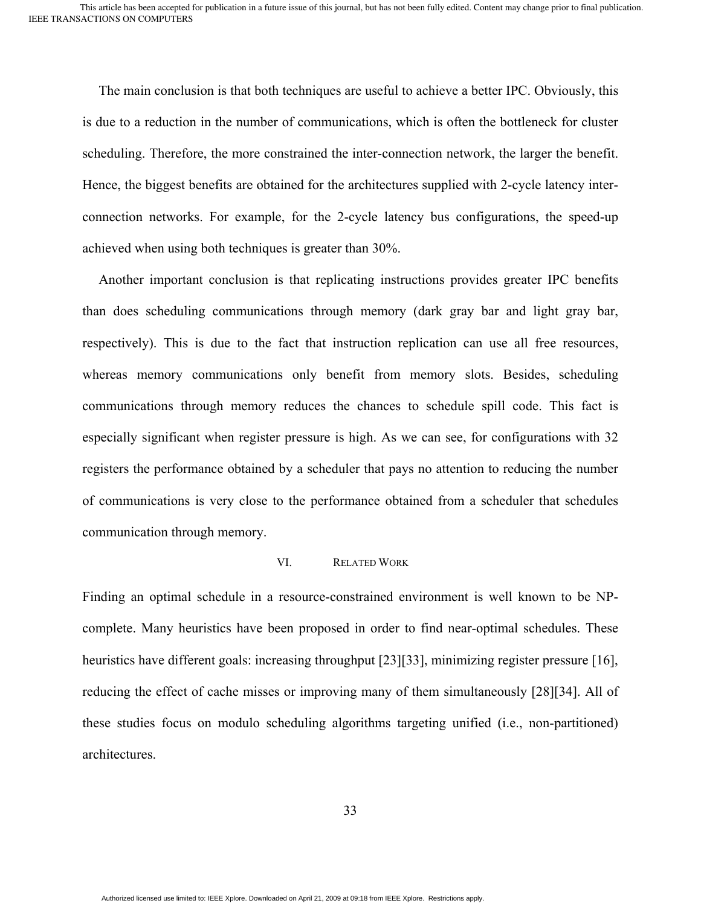The main conclusion is that both techniques are useful to achieve a better IPC. Obviously, this is due to a reduction in the number of communications, which is often the bottleneck for cluster scheduling. Therefore, the more constrained the inter-connection network, the larger the benefit. Hence, the biggest benefits are obtained for the architectures supplied with 2-cycle latency interconnection networks. For example, for the 2-cycle latency bus configurations, the speed-up achieved when using both techniques is greater than 30%.

Another important conclusion is that replicating instructions provides greater IPC benefits than does scheduling communications through memory (dark gray bar and light gray bar, respectively). This is due to the fact that instruction replication can use all free resources, whereas memory communications only benefit from memory slots. Besides, scheduling communications through memory reduces the chances to schedule spill code. This fact is especially significant when register pressure is high. As we can see, for configurations with 32 registers the performance obtained by a scheduler that pays no attention to reducing the number of communications is very close to the performance obtained from a scheduler that schedules communication through memory.

#### VI. RELATED WORK

Finding an optimal schedule in a resource-constrained environment is well known to be NPcomplete. Many heuristics have been proposed in order to find near-optimal schedules. These heuristics have different goals: increasing throughput [23][33], minimizing register pressure [16], reducing the effect of cache misses or improving many of them simultaneously [28][34]. All of these studies focus on modulo scheduling algorithms targeting unified (i.e., non-partitioned) architectures.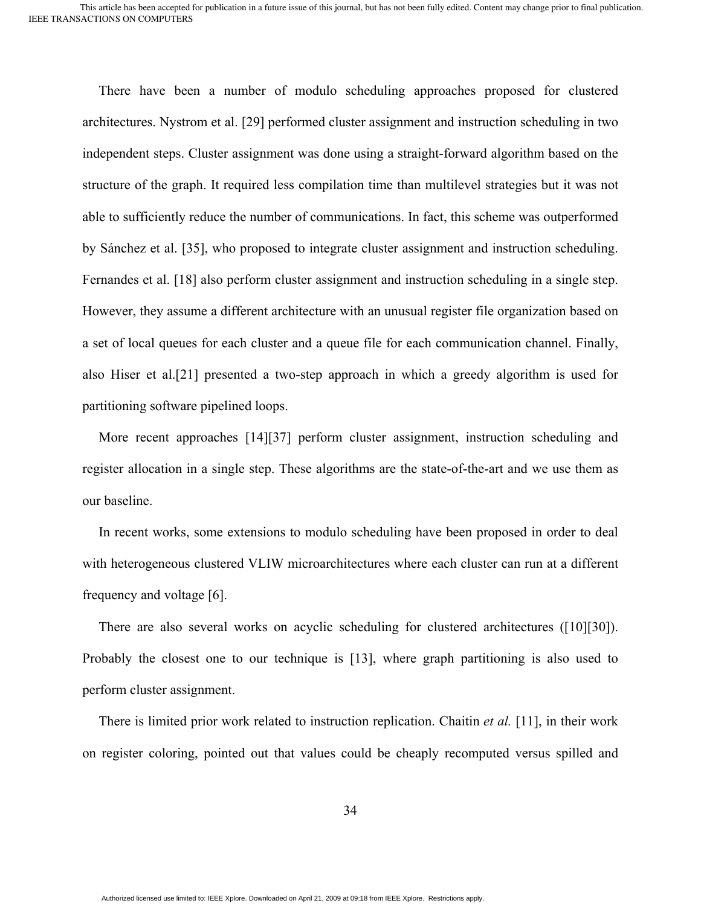There have been a number of modulo scheduling approaches proposed for clustered architectures. Nystrom et al. [29] performed cluster assignment and instruction scheduling in two independent steps. Cluster assignment was done using a straight-forward algorithm based on the structure of the graph. It required less compilation time than multilevel strategies but it was not able to sufficiently reduce the number of communications. In fact, this scheme was outperformed by Sánchez et al. [35], who proposed to integrate cluster assignment and instruction scheduling. Fernandes et al. [18] also perform cluster assignment and instruction scheduling in a single step. However, they assume a different architecture with an unusual register file organization based on a set of local queues for each cluster and a queue file for each communication channel. Finally, also Hiser et al.[21] presented a two-step approach in which a greedy algorithm is used for partitioning software pipelined loops.

More recent approaches [14][37] perform cluster assignment, instruction scheduling and register allocation in a single step. These algorithms are the state-of-the-art and we use them as our baseline.

In recent works, some extensions to modulo scheduling have been proposed in order to deal with heterogeneous clustered VLIW microarchitectures where each cluster can run at a different frequency and voltage [6].

There are also several works on acyclic scheduling for clustered architectures ([10][30]). Probably the closest one to our technique is [13], where graph partitioning is also used to perform cluster assignment.

There is limited prior work related to instruction replication. Chaitin *et al.* [11], in their work on register coloring, pointed out that values could be cheaply recomputed versus spilled and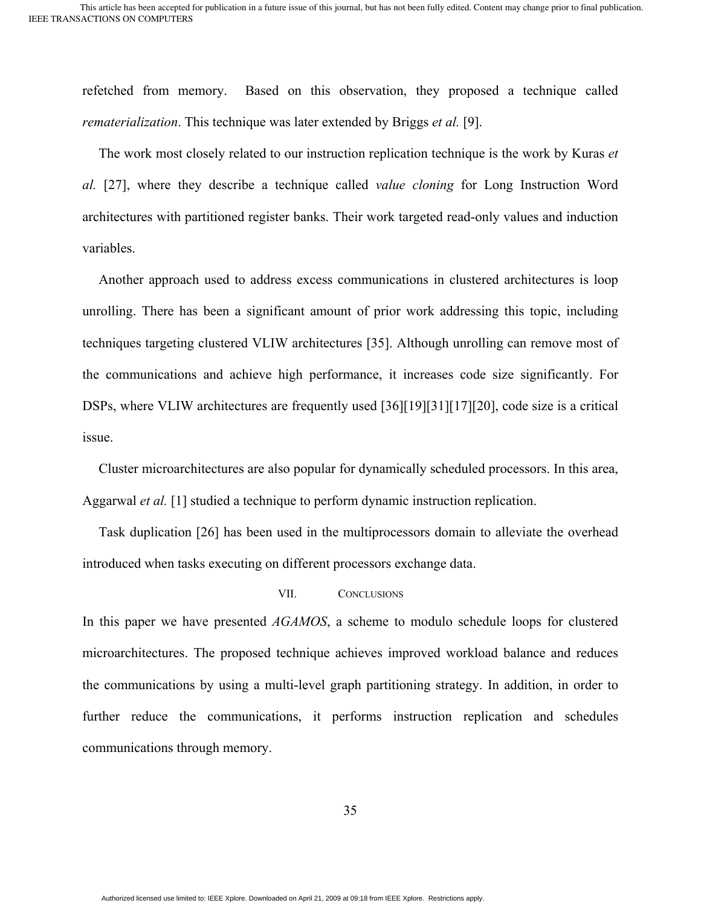refetched from memory. Based on this observation, they proposed a technique called *rematerialization*. This technique was later extended by Briggs *et al.* [9].

The work most closely related to our instruction replication technique is the work by Kuras *et al.* [27], where they describe a technique called *value cloning* for Long Instruction Word architectures with partitioned register banks. Their work targeted read-only values and induction variables.

Another approach used to address excess communications in clustered architectures is loop unrolling. There has been a significant amount of prior work addressing this topic, including techniques targeting clustered VLIW architectures [35]. Although unrolling can remove most of the communications and achieve high performance, it increases code size significantly. For DSPs, where VLIW architectures are frequently used [36][19][31][17][20], code size is a critical issue.

Cluster microarchitectures are also popular for dynamically scheduled processors. In this area, Aggarwal *et al.* [1] studied a technique to perform dynamic instruction replication.

Task duplication [26] has been used in the multiprocessors domain to alleviate the overhead introduced when tasks executing on different processors exchange data.

#### VII. CONCLUSIONS

In this paper we have presented *AGAMOS*, a scheme to modulo schedule loops for clustered microarchitectures. The proposed technique achieves improved workload balance and reduces the communications by using a multi-level graph partitioning strategy. In addition, in order to further reduce the communications, it performs instruction replication and schedules communications through memory.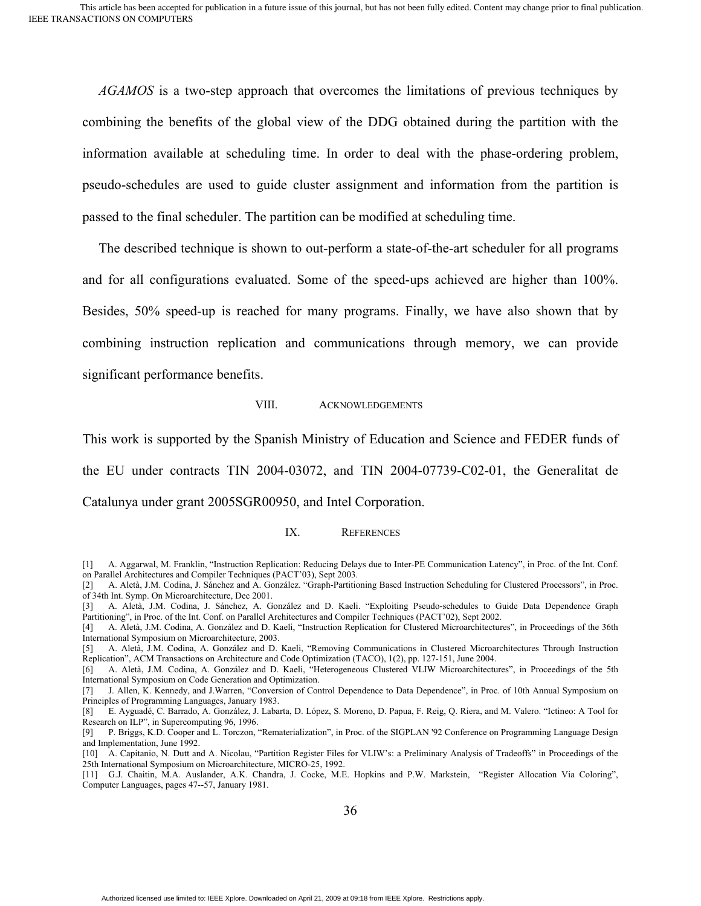*AGAMOS* is a two-step approach that overcomes the limitations of previous techniques by combining the benefits of the global view of the DDG obtained during the partition with the information available at scheduling time. In order to deal with the phase-ordering problem, pseudo-schedules are used to guide cluster assignment and information from the partition is passed to the final scheduler. The partition can be modified at scheduling time.

The described technique is shown to out-perform a state-of-the-art scheduler for all programs and for all configurations evaluated. Some of the speed-ups achieved are higher than 100%. Besides, 50% speed-up is reached for many programs. Finally, we have also shown that by combining instruction replication and communications through memory, we can provide significant performance benefits.

#### VIII. ACKNOWLEDGEMENTS

This work is supported by the Spanish Ministry of Education and Science and FEDER funds of the EU under contracts TIN 2004-03072, and TIN 2004-07739-C02-01, the Generalitat de Catalunya under grant 2005SGR00950, and Intel Corporation.

#### IX. REFERENCES

<sup>[1]</sup> A. Aggarwal, M. Franklin, "Instruction Replication: Reducing Delays due to Inter-PE Communication Latency", in Proc. of the Int. Conf. on Parallel Architectures and Compiler Techniques (PACT'03), Sept 2003.

<sup>[2]</sup> A. Aletà, J.M. Codina, J. Sánchez and A. González. "Graph-Partitioning Based Instruction Scheduling for Clustered Processors", in Proc. of 34th Int. Symp. On Microarchitecture, Dec 2001.

<sup>[3]</sup> A. Aletà, J.M. Codina, J. Sánchez, A. González and D. Kaeli. "Exploiting Pseudo-schedules to Guide Data Dependence Graph Partitioning", in Proc. of the Int. Conf. on Parallel Architectures and Compiler Techniques (PACT'02), Sept 2002.

<sup>[4]</sup> A. Aletà, J.M. Codina, A. González and D. Kaeli, "Instruction Replication for Clustered Microarchitectures", in Proceedings of the 36th International Symposium on Microarchitecture, 2003.

<sup>[5]</sup> A. Aletà, J.M. Codina, A. González and D. Kaeli, "Removing Communications in Clustered Microarchitectures Through Instruction Replication", ACM Transactions on Architecture and Code Optimization (TACO), 1(2), pp. 127-151, June 2004.

<sup>[6]</sup> A. Aletà, J.M. Codina, A. González and D. Kaeli, "Heterogeneous Clustered VLIW Microarchitectures", in Proceedings of the 5th International Symposium on Code Generation and Optimization.

<sup>[7]</sup> J. Allen, K. Kennedy, and J.Warren, "Conversion of Control Dependence to Data Dependence", in Proc. of 10th Annual Symposium on Principles of Programming Languages, January 1983.

<sup>[8]</sup> E. Ayguadé, C. Barrado, A. González, J. Labarta, D. López, S. Moreno, D. Papua, F. Reig, Q. Riera, and M. Valero. "Ictineo: A Tool for Research on ILP", in Supercomputing 96, 1996.

<sup>[9]</sup> P. Briggs, K.D. Cooper and L. Torczon, "Rematerialization", in Proc. of the SIGPLAN '92 Conference on Programming Language Design and Implementation, June 1992.

<sup>[10]</sup> A. Capitanio, N. Dutt and A. Nicolau, "Partition Register Files for VLIW's: a Preliminary Analysis of Tradeoffs" in Proceedings of the 25th International Symposium on Microarchitecture, MICRO-25, 1992.

<sup>[11]</sup> G.J. Chaitin, M.A. Auslander, A.K. Chandra, J. Cocke, M.E. Hopkins and P.W. Markstein, "Register Allocation Via Coloring", Computer Languages, pages 47--57, January 1981.